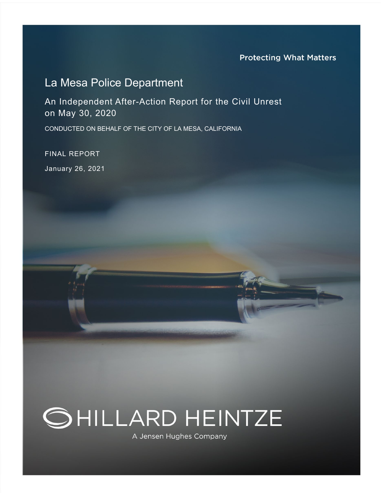# La Mesa Police Department

An Independent After-Action Report for the Civil Unrest on May 30, 2020

CONDUCTED ON BEHALF OF THE CITY OF LA MESA, CALIFORNIA

FINAL REPORT January 26, 2021



A Jensen Hughes Company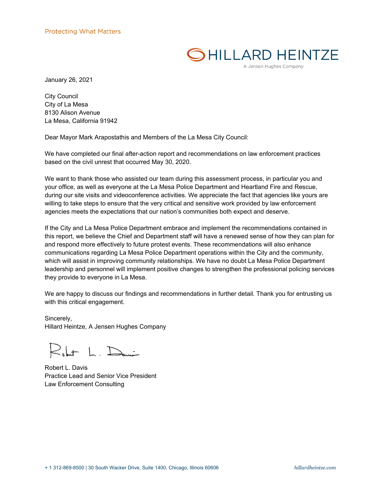

A Jensen Hughes Company

January 26, 2021

City Council City of La Mesa 8130 Alison Avenue La Mesa, California 91942

Dear Mayor Mark Arapostathis and Members of the La Mesa City Council:

We have completed our final after-action report and recommendations on law enforcement practices based on the civil unrest that occurred May 30, 2020.

We want to thank those who assisted our team during this assessment process, in particular you and your office, as well as everyone at the La Mesa Police Department and Heartland Fire and Rescue, during our site visits and videoconference activities. We appreciate the fact that agencies like yours are willing to take steps to ensure that the very critical and sensitive work provided by law enforcement agencies meets the expectations that our nation's communities both expect and deserve.

If the City and La Mesa Police Department embrace and implement the recommendations contained in this report, we believe the Chief and Department staff will have a renewed sense of how they can plan for and respond more effectively to future protest events. These recommendations will also enhance communications regarding La Mesa Police Department operations within the City and the community, which will assist in improving community relationships. We have no doubt La Mesa Police Department leadership and personnel will implement positive changes to strengthen the professional policing services they provide to everyone in La Mesa.

We are happy to discuss our findings and recommendations in further detail. Thank you for entrusting us with this critical engagement.

Sincerely, Hillard Heintze, A Jensen Hughes Company

 $R_{\text{sh}}$  L. Dani

Robert L. Davis Practice Lead and Senior Vice President Law Enforcement Consulting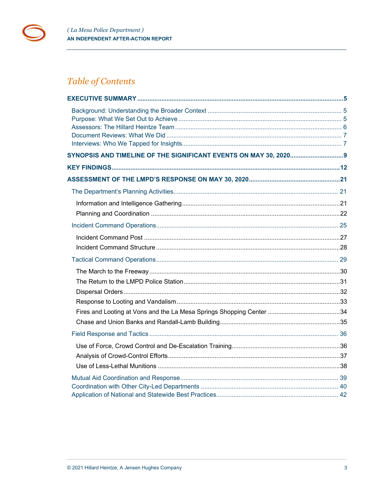

# Table of Contents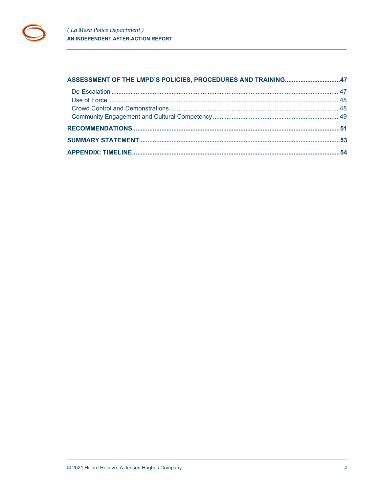| ASSESSMENT OF THE LMPD'S POLICIES, PROCEDURES AND TRAINING47 |  |
|--------------------------------------------------------------|--|
|                                                              |  |
|                                                              |  |
|                                                              |  |
|                                                              |  |
|                                                              |  |
|                                                              |  |
|                                                              |  |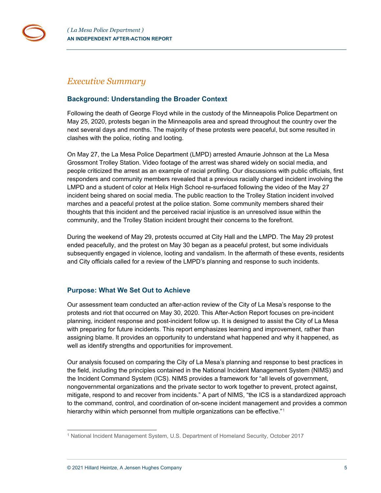

## <span id="page-4-0"></span>*Executive Summary*

## <span id="page-4-1"></span>**Background: Understanding the Broader Context**

Following the death of George Floyd while in the custody of the Minneapolis Police Department on May 25, 2020, protests began in the Minneapolis area and spread throughout the country over the next several days and months. The majority of these protests were peaceful, but some resulted in clashes with the police, rioting and looting.

On May 27, the La Mesa Police Department (LMPD) arrested Amaurie Johnson at the La Mesa Grossmont Trolley Station. Video footage of the arrest was shared widely on social media, and people criticized the arrest as an example of racial profiling. Our discussions with public officials, first responders and community members revealed that a previous racially charged incident involving the LMPD and a student of color at Helix High School re-surfaced following the video of the May 27 incident being shared on social media. The public reaction to the Trolley Station incident involved marches and a peaceful protest at the police station. Some community members shared their thoughts that this incident and the perceived racial injustice is an unresolved issue within the community, and the Trolley Station incident brought their concerns to the forefront.

During the weekend of May 29, protests occurred at City Hall and the LMPD. The May 29 protest ended peacefully, and the protest on May 30 began as a peaceful protest, but some individuals subsequently engaged in violence, looting and vandalism. In the aftermath of these events, residents and City officials called for a review of the LMPD's planning and response to such incidents.

## <span id="page-4-2"></span>**Purpose: What We Set Out to Achieve**

Our assessment team conducted an after-action review of the City of La Mesa's response to the protests and riot that occurred on May 30, 2020. This After-Action Report focuses on pre-incident planning, incident response and post-incident follow up. It is designed to assist the City of La Mesa with preparing for future incidents. This report emphasizes learning and improvement, rather than assigning blame. It provides an opportunity to understand what happened and why it happened, as well as identify strengths and opportunities for improvement.

Our analysis focused on comparing the City of La Mesa's planning and response to best practices in the field, including the principles contained in the National Incident Management System (NIMS) and the Incident Command System (ICS). NIMS provides a framework for "all levels of government, nongovernmental organizations and the private sector to work together to prevent, protect against, mitigate, respond to and recover from incidents." A part of NIMS, "the ICS is a standardized approach to the command, control, and coordination of on-scene incident management and provides a common hierarchy within which personnel from multiple organizations can be effective."<sup>[1](#page-4-3)</sup>

<span id="page-4-3"></span><sup>1</sup> National Incident Management System, U.S. Department of Homeland Security, October 2017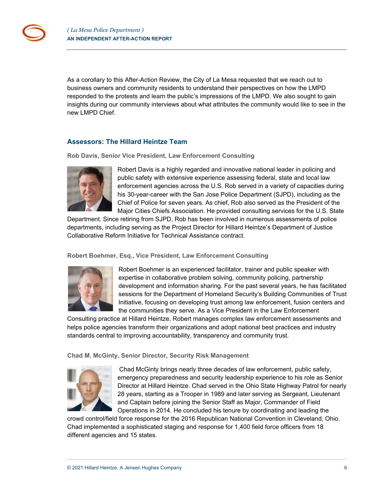As a corollary to this After-Action Review, the City of La Mesa requested that we reach out to business owners and community residents to understand their perspectives on how the LMPD responded to the protests and learn the public's impressions of the LMPD. We also sought to gain insights during our community interviews about what attributes the community would like to see in the new LMPD Chief.

## <span id="page-5-0"></span>**Assessors: The Hillard Heintze Team**

**Rob Davis, Senior Vice President, Law Enforcement Consulting**



Robert Davis is a highly regarded and innovative national leader in policing and public safety with extensive experience assessing federal, state and local law enforcement agencies across the U.S. Rob served in a variety of capacities during his 30-year-career with the San Jose Police Department (SJPD), including as the Chief of Police for seven years. As chief, Rob also served as the President of the Major Cities Chiefs Association. He provided consulting services for the U.S. State

Department. Since retiring from SJPD, Rob has been involved in numerous assessments of police departments, including serving as the Project Director for Hillard Heintze's Department of Justice Collaborative Reform Initiative for Technical Assistance contract.

#### **Robert Boehmer, Esq., Vice President, Law Enforcement Consulting**



Robert Boehmer is an experienced facilitator, trainer and public speaker with expertise in collaborative problem solving, community policing, partnership development and information sharing. For the past several years, he has facilitated sessions for the Department of Homeland Security's Building Communities of Trust Initiative, focusing on developing trust among law enforcement, fusion centers and the communities they serve. As a Vice President in the Law Enforcement

Consulting practice at Hillard Heintze, Robert manages complex law enforcement assessments and helps police agencies transform their organizations and adopt national best practices and industry standards central to improving accountability, transparency and community trust.

**Chad M. McGinty, Senior Director, Security Risk Management**



Chad McGinty brings nearly three decades of law enforcement, public safety, emergency preparedness and security leadership experience to his role as Senior Director at Hillard Heintze. Chad served in the Ohio State Highway Patrol for nearly 28 years, starting as a Trooper in 1989 and later serving as Sergeant, Lieutenant and Captain before joining the Senior Staff as Major, Commander of Field Operations in 2014. He concluded his tenure by coordinating and leading the

crowd control/field force response for the 2016 Republican National Convention in Cleveland, Ohio. Chad implemented a sophisticated staging and response for 1,400 field force officers from 18 different agencies and 15 states.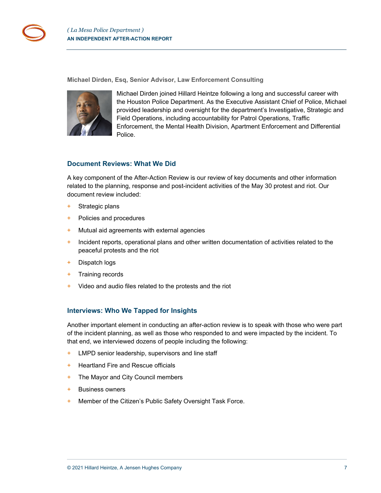**Michael Dirden, Esq, Senior Advisor, Law Enforcement Consulting**



Michael Dirden joined Hillard Heintze following a long and successful career with the Houston Police Department. As the Executive Assistant Chief of Police, Michael provided leadership and oversight for the department's Investigative, Strategic and Field Operations, including accountability for Patrol Operations, Traffic Enforcement, the Mental Health Division, Apartment Enforcement and Differential Police.

## <span id="page-6-0"></span>**Document Reviews: What We Did**

A key component of the After-Action Review is our review of key documents and other information related to the planning, response and post-incident activities of the May 30 protest and riot. Our document review included:

- + Strategic plans
- + Policies and procedures
- + Mutual aid agreements with external agencies
- + Incident reports, operational plans and other written documentation of activities related to the peaceful protests and the riot
- + Dispatch logs
- + Training records
- + Video and audio files related to the protests and the riot

## <span id="page-6-1"></span>**Interviews: Who We Tapped for Insights**

Another important element in conducting an after-action review is to speak with those who were part of the incident planning, as well as those who responded to and were impacted by the incident. To that end, we interviewed dozens of people including the following:

- + LMPD senior leadership, supervisors and line staff
- + Heartland Fire and Rescue officials
- + The Mayor and City Council members
- + Business owners
- + Member of the Citizen's Public Safety Oversight Task Force.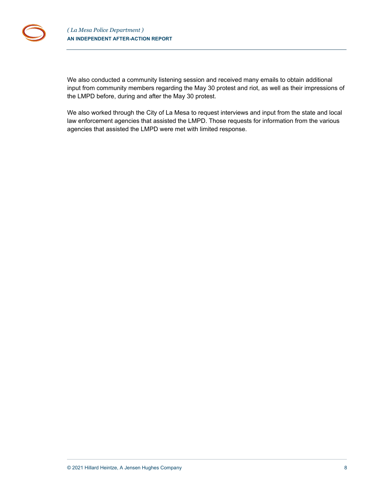

We also conducted a community listening session and received many emails to obtain additional input from community members regarding the May 30 protest and riot, as well as their impressions of the LMPD before, during and after the May 30 protest.

We also worked through the City of La Mesa to request interviews and input from the state and local law enforcement agencies that assisted the LMPD. Those requests for information from the various agencies that assisted the LMPD were met with limited response.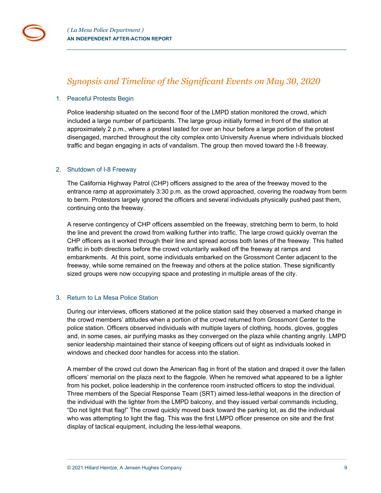

## <span id="page-8-0"></span>*Synopsis and Timeline of the Significant Events on May 30, 2020*

#### 1. Peaceful Protests Begin

Police leadership situated on the second floor of the LMPD station monitored the crowd, which included a large number of participants. The large group initially formed in front of the station at approximately 2 p.m., where a protest lasted for over an hour before a large portion of the protest disengaged, marched throughout the city complex onto University Avenue where individuals blocked traffic and began engaging in acts of vandalism. The group then moved toward the I-8 freeway.

#### 2. Shutdown of I-8 Freeway

The California Highway Patrol (CHP) officers assigned to the area of the freeway moved to the entrance ramp at approximately 3:30 p.m. as the crowd approached, covering the roadway from berm to berm. Protestors largely ignored the officers and several individuals physically pushed past them, continuing onto the freeway.

A reserve contingency of CHP officers assembled on the freeway, stretching berm to berm, to hold the line and prevent the crowd from walking further into traffic. The large crowd quickly overran the CHP officers as it worked through their line and spread across both lanes of the freeway. This halted traffic in both directions before the crowd voluntarily walked off the freeway at ramps and embankments. At this point, some individuals embarked on the Grossmont Center adjacent to the freeway, while some remained on the freeway and others at the police station. These significantly sized groups were now occupying space and protesting in multiple areas of the city.

## 3. Return to La Mesa Police Station

During our interviews, officers stationed at the police station said they observed a marked change in the crowd members' attitudes when a portion of the crowd returned from Grossmont Center to the police station. Officers observed individuals with multiple layers of clothing, hoods, gloves, goggles and, in some cases, air purifying masks as they converged on the plaza while chanting angrily. LMPD senior leadership maintained their stance of keeping officers out of sight as individuals looked in windows and checked door handles for access into the station.

A member of the crowd cut down the American flag in front of the station and draped it over the fallen officers' memorial on the plaza next to the flagpole. When he removed what appeared to be a lighter from his pocket, police leadership in the conference room instructed officers to stop the individual. Three members of the Special Response Team (SRT) aimed less-lethal weapons in the direction of the individual with the lighter from the LMPD balcony, and they issued verbal commands including, "Do not light that flag!" The crowd quickly moved back toward the parking lot, as did the individual who was attempting to light the flag. This was the first LMPD officer presence on site and the first display of tactical equipment, including the less-lethal weapons.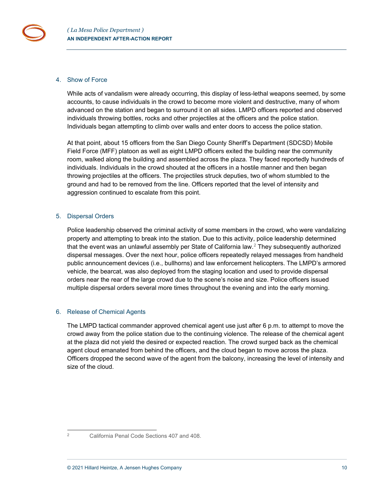#### 4. Show of Force

While acts of vandalism were already occurring, this display of less-lethal weapons seemed, by some accounts, to cause individuals in the crowd to become more violent and destructive, many of whom advanced on the station and began to surround it on all sides. LMPD officers reported and observed individuals throwing bottles, rocks and other projectiles at the officers and the police station. Individuals began attempting to climb over walls and enter doors to access the police station.

At that point, about 15 officers from the San Diego County Sheriff's Department (SDCSD) Mobile Field Force (MFF) platoon as well as eight LMPD officers exited the building near the community room, walked along the building and assembled across the plaza. They faced reportedly hundreds of individuals. Individuals in the crowd shouted at the officers in a hostile manner and then began throwing projectiles at the officers. The projectiles struck deputies, two of whom stumbled to the ground and had to be removed from the line. Officers reported that the level of intensity and aggression continued to escalate from this point.

#### 5. Dispersal Orders

Police leadership observed the criminal activity of some members in the crowd, who were vandalizing property and attempting to break into the station. Due to this activity, police leadership determined that the event was an unlawful assembly per State of California law.[2](#page-9-0) They subsequently authorized dispersal messages. Over the next hour, police officers repeatedly relayed messages from handheld public announcement devices (i.e., bullhorns) and law enforcement helicopters. The LMPD's armored vehicle, the bearcat, was also deployed from the staging location and used to provide dispersal orders near the rear of the large crowd due to the scene's noise and size. Police officers issued multiple dispersal orders several more times throughout the evening and into the early morning.

## 6. Release of Chemical Agents

The LMPD tactical commander approved chemical agent use just after 6 p.m. to attempt to move the crowd away from the police station due to the continuing violence. The release of the chemical agent at the plaza did not yield the desired or expected reaction. The crowd surged back as the chemical agent cloud emanated from behind the officers, and the cloud began to move across the plaza. Officers dropped the second wave of the agent from the balcony, increasing the level of intensity and size of the cloud.

<span id="page-9-0"></span>

<sup>2</sup> California Penal Code Sections 407 and 408.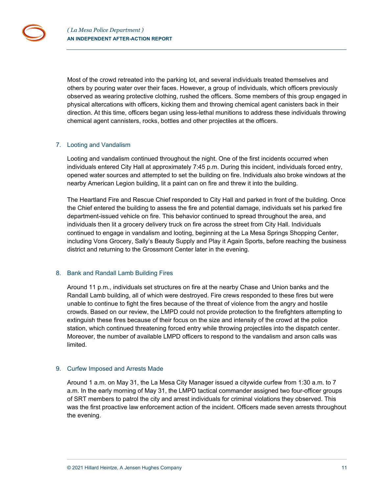Most of the crowd retreated into the parking lot, and several individuals treated themselves and others by pouring water over their faces. However, a group of individuals, which officers previously observed as wearing protective clothing, rushed the officers. Some members of this group engaged in physical altercations with officers, kicking them and throwing chemical agent canisters back in their direction. At this time, officers began using less-lethal munitions to address these individuals throwing chemical agent cannisters, rocks, bottles and other projectiles at the officers.

## 7. Looting and Vandalism

Looting and vandalism continued throughout the night. One of the first incidents occurred when individuals entered City Hall at approximately 7:45 p.m. During this incident, individuals forced entry, opened water sources and attempted to set the building on fire. Individuals also broke windows at the nearby American Legion building, lit a paint can on fire and threw it into the building.

The Heartland Fire and Rescue Chief responded to City Hall and parked in front of the building. Once the Chief entered the building to assess the fire and potential damage, individuals set his parked fire department-issued vehicle on fire. This behavior continued to spread throughout the area, and individuals then lit a grocery delivery truck on fire across the street from City Hall. Individuals continued to engage in vandalism and looting, beginning at the La Mesa Springs Shopping Center, including Vons Grocery, Sally's Beauty Supply and Play it Again Sports, before reaching the business district and returning to the Grossmont Center later in the evening.

#### 8. Bank and Randall Lamb Building Fires

Around 11 p.m., individuals set structures on fire at the nearby Chase and Union banks and the Randall Lamb building, all of which were destroyed. Fire crews responded to these fires but were unable to continue to fight the fires because of the threat of violence from the angry and hostile crowds. Based on our review, the LMPD could not provide protection to the firefighters attempting to extinguish these fires because of their focus on the size and intensity of the crowd at the police station, which continued threatening forced entry while throwing projectiles into the dispatch center. Moreover, the number of available LMPD officers to respond to the vandalism and arson calls was limited.

## 9. Curfew Imposed and Arrests Made

Around 1 a.m. on May 31, the La Mesa City Manager issued a citywide curfew from 1:30 a.m. to 7 a.m. In the early morning of May 31, the LMPD tactical commander assigned two four-officer groups of SRT members to patrol the city and arrest individuals for criminal violations they observed. This was the first proactive law enforcement action of the incident. Officers made seven arrests throughout the evening.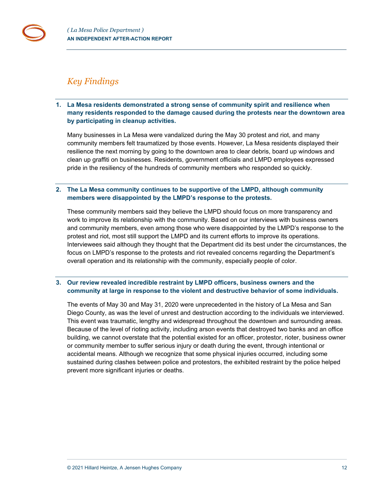## <span id="page-11-0"></span>*Key Findings*

**1. La Mesa residents demonstrated a strong sense of community spirit and resilience when many residents responded to the damage caused during the protests near the downtown area by participating in cleanup activities.**

Many businesses in La Mesa were vandalized during the May 30 protest and riot, and many community members felt traumatized by those events. However, La Mesa residents displayed their resilience the next morning by going to the downtown area to clear debris, board up windows and clean up graffiti on businesses. Residents, government officials and LMPD employees expressed pride in the resiliency of the hundreds of community members who responded so quickly.

## **2. The La Mesa community continues to be supportive of the LMPD, although community members were disappointed by the LMPD's response to the protests.**

These community members said they believe the LMPD should focus on more transparency and work to improve its relationship with the community. Based on our interviews with business owners and community members, even among those who were disappointed by the LMPD's response to the protest and riot, most still support the LMPD and its current efforts to improve its operations. Interviewees said although they thought that the Department did its best under the circumstances, the focus on LMPD's response to the protests and riot revealed concerns regarding the Department's overall operation and its relationship with the community, especially people of color.

## **3. Our review revealed incredible restraint by LMPD officers, business owners and the community at large in response to the violent and destructive behavior of some individuals.**

The events of May 30 and May 31, 2020 were unprecedented in the history of La Mesa and San Diego County, as was the level of unrest and destruction according to the individuals we interviewed. This event was traumatic, lengthy and widespread throughout the downtown and surrounding areas. Because of the level of rioting activity, including arson events that destroyed two banks and an office building, we cannot overstate that the potential existed for an officer, protestor, rioter, business owner or community member to suffer serious injury or death during the event, through intentional or accidental means. Although we recognize that some physical injuries occurred, including some sustained during clashes between police and protestors, the exhibited restraint by the police helped prevent more significant injuries or deaths.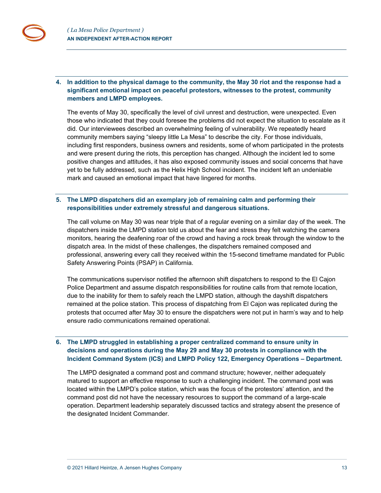## **4. In addition to the physical damage to the community, the May 30 riot and the response had a significant emotional impact on peaceful protestors, witnesses to the protest, community members and LMPD employees.**

The events of May 30, specifically the level of civil unrest and destruction, were unexpected. Even those who indicated that they could foresee the problems did not expect the situation to escalate as it did. Our interviewees described an overwhelming feeling of vulnerability. We repeatedly heard community members saying "sleepy little La Mesa" to describe the city. For those individuals, including first responders, business owners and residents, some of whom participated in the protests and were present during the riots, this perception has changed. Although the incident led to some positive changes and attitudes, it has also exposed community issues and social concerns that have yet to be fully addressed, such as the Helix High School incident. The incident left an undeniable mark and caused an emotional impact that have lingered for months.

## **5. The LMPD dispatchers did an exemplary job of remaining calm and performing their responsibilities under extremely stressful and dangerous situations.**

The call volume on May 30 was near triple that of a regular evening on a similar day of the week. The dispatchers inside the LMPD station told us about the fear and stress they felt watching the camera monitors, hearing the deafening roar of the crowd and having a rock break through the window to the dispatch area. In the midst of these challenges, the dispatchers remained composed and professional, answering every call they received within the 15-second timeframe mandated for Public Safety Answering Points (PSAP) in California.

The communications supervisor notified the afternoon shift dispatchers to respond to the El Cajon Police Department and assume dispatch responsibilities for routine calls from that remote location, due to the inability for them to safely reach the LMPD station, although the dayshift dispatchers remained at the police station. This process of dispatching from El Cajon was replicated during the protests that occurred after May 30 to ensure the dispatchers were not put in harm's way and to help ensure radio communications remained operational.

## **6. The LMPD struggled in establishing a proper centralized command to ensure unity in decisions and operations during the May 29 and May 30 protests in compliance with the Incident Command System (ICS) and LMPD Policy 122, Emergency Operations – Department.**

The LMPD designated a command post and command structure; however, neither adequately matured to support an effective response to such a challenging incident. The command post was located within the LMPD's police station, which was the focus of the protestors' attention, and the command post did not have the necessary resources to support the command of a large-scale operation. Department leadership separately discussed tactics and strategy absent the presence of the designated Incident Commander.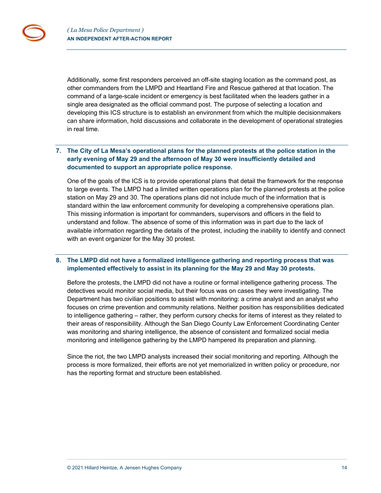Additionally, some first responders perceived an off-site staging location as the command post, as other commanders from the LMPD and Heartland Fire and Rescue gathered at that location. The command of a large-scale incident or emergency is best facilitated when the leaders gather in a single area designated as the official command post. The purpose of selecting a location and developing this ICS structure is to establish an environment from which the multiple decisionmakers can share information, hold discussions and collaborate in the development of operational strategies in real time.

## **7. The City of La Mesa's operational plans for the planned protests at the police station in the early evening of May 29 and the afternoon of May 30 were insufficiently detailed and documented to support an appropriate police response.**

One of the goals of the ICS is to provide operational plans that detail the framework for the response to large events. The LMPD had a limited written operations plan for the planned protests at the police station on May 29 and 30. The operations plans did not include much of the information that is standard within the law enforcement community for developing a comprehensive operations plan. This missing information is important for commanders, supervisors and officers in the field to understand and follow. The absence of some of this information was in part due to the lack of available information regarding the details of the protest, including the inability to identify and connect with an event organizer for the May 30 protest.

## **8. The LMPD did not have a formalized intelligence gathering and reporting process that was implemented effectively to assist in its planning for the May 29 and May 30 protests.**

Before the protests, the LMPD did not have a routine or formal intelligence gathering process. The detectives would monitor social media, but their focus was on cases they were investigating. The Department has two civilian positions to assist with monitoring: a crime analyst and an analyst who focuses on crime prevention and community relations. Neither position has responsibilities dedicated to intelligence gathering – rather, they perform cursory checks for items of interest as they related to their areas of responsibility. Although the San Diego County Law Enforcement Coordinating Center was monitoring and sharing intelligence, the absence of consistent and formalized social media monitoring and intelligence gathering by the LMPD hampered its preparation and planning.

Since the riot, the two LMPD analysts increased their social monitoring and reporting. Although the process is more formalized, their efforts are not yet memorialized in written policy or procedure, nor has the reporting format and structure been established.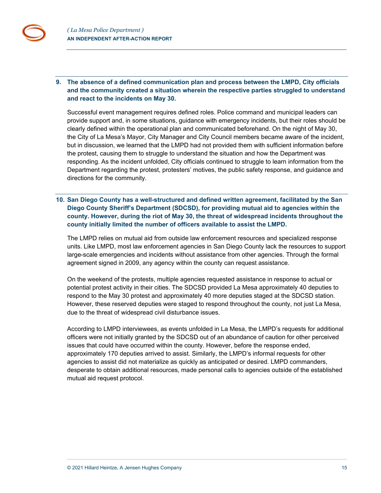**9. The absence of a defined communication plan and process between the LMPD, City officials and the community created a situation wherein the respective parties struggled to understand and react to the incidents on May 30.**

Successful event management requires defined roles. Police command and municipal leaders can provide support and, in some situations, guidance with emergency incidents, but their roles should be clearly defined within the operational plan and communicated beforehand. On the night of May 30, the City of La Mesa's Mayor, City Manager and City Council members became aware of the incident, but in discussion, we learned that the LMPD had not provided them with sufficient information before the protest, causing them to struggle to understand the situation and how the Department was responding. As the incident unfolded, City officials continued to struggle to learn information from the Department regarding the protest, protesters' motives, the public safety response, and guidance and directions for the community.

## **10. San Diego County has a well-structured and defined written agreement, facilitated by the San Diego County Sheriff's Department (SDCSD), for providing mutual aid to agencies within the county. However, during the riot of May 30, the threat of widespread incidents throughout the county initially limited the number of officers available to assist the LMPD.**

The LMPD relies on mutual aid from outside law enforcement resources and specialized response units. Like LMPD, most law enforcement agencies in San Diego County lack the resources to support large-scale emergencies and incidents without assistance from other agencies. Through the formal agreement signed in 2009, any agency within the county can request assistance.

On the weekend of the protests, multiple agencies requested assistance in response to actual or potential protest activity in their cities. The SDCSD provided La Mesa approximately 40 deputies to respond to the May 30 protest and approximately 40 more deputies staged at the SDCSD station. However, these reserved deputies were staged to respond throughout the county, not just La Mesa, due to the threat of widespread civil disturbance issues.

According to LMPD interviewees, as events unfolded in La Mesa, the LMPD's requests for additional officers were not initially granted by the SDCSD out of an abundance of caution for other perceived issues that could have occurred within the county. However, before the response ended, approximately 170 deputies arrived to assist. Similarly, the LMPD's informal requests for other agencies to assist did not materialize as quickly as anticipated or desired. LMPD commanders, desperate to obtain additional resources, made personal calls to agencies outside of the established mutual aid request protocol.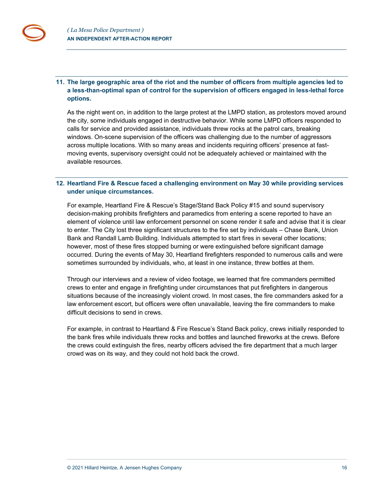## **11. The large geographic area of the riot and the number of officers from multiple agencies led to a less-than-optimal span of control for the supervision of officers engaged in less-lethal force options.**

As the night went on, in addition to the large protest at the LMPD station, as protestors moved around the city, some individuals engaged in destructive behavior. While some LMPD officers responded to calls for service and provided assistance, individuals threw rocks at the patrol cars, breaking windows. On-scene supervision of the officers was challenging due to the number of aggressors across multiple locations. With so many areas and incidents requiring officers' presence at fastmoving events, supervisory oversight could not be adequately achieved or maintained with the available resources.

## **12. Heartland Fire & Rescue faced a challenging environment on May 30 while providing services under unique circumstances.**

For example, Heartland Fire & Rescue's Stage/Stand Back Policy #15 and sound supervisory decision-making prohibits firefighters and paramedics from entering a scene reported to have an element of violence until law enforcement personnel on scene render it safe and advise that it is clear to enter. The City lost three significant structures to the fire set by individuals – Chase Bank, Union Bank and Randall Lamb Building. Individuals attempted to start fires in several other locations; however, most of these fires stopped burning or were extinguished before significant damage occurred. During the events of May 30, Heartland firefighters responded to numerous calls and were sometimes surrounded by individuals, who, at least in one instance, threw bottles at them.

Through our interviews and a review of video footage, we learned that fire commanders permitted crews to enter and engage in firefighting under circumstances that put firefighters in dangerous situations because of the increasingly violent crowd. In most cases, the fire commanders asked for a law enforcement escort, but officers were often unavailable, leaving the fire commanders to make difficult decisions to send in crews.

For example, in contrast to Heartland & Fire Rescue's Stand Back policy, crews initially responded to the bank fires while individuals threw rocks and bottles and launched fireworks at the crews. Before the crews could extinguish the fires, nearby officers advised the fire department that a much larger crowd was on its way, and they could not hold back the crowd.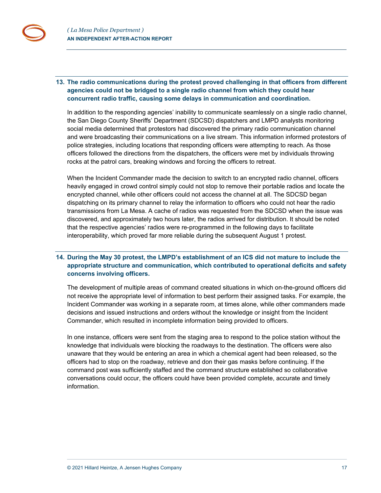## **13. The radio communications during the protest proved challenging in that officers from different agencies could not be bridged to a single radio channel from which they could hear concurrent radio traffic, causing some delays in communication and coordination.**

In addition to the responding agencies' inability to communicate seamlessly on a single radio channel, the San Diego County Sheriffs' Department (SDCSD) dispatchers and LMPD analysts monitoring social media determined that protestors had discovered the primary radio communication channel and were broadcasting their communications on a live stream. This information informed protestors of police strategies, including locations that responding officers were attempting to reach. As those officers followed the directions from the dispatchers, the officers were met by individuals throwing rocks at the patrol cars, breaking windows and forcing the officers to retreat.

When the Incident Commander made the decision to switch to an encrypted radio channel, officers heavily engaged in crowd control simply could not stop to remove their portable radios and locate the encrypted channel, while other officers could not access the channel at all. The SDCSD began dispatching on its primary channel to relay the information to officers who could not hear the radio transmissions from La Mesa. A cache of radios was requested from the SDCSD when the issue was discovered, and approximately two hours later, the radios arrived for distribution. It should be noted that the respective agencies' radios were re-programmed in the following days to facilitate interoperability, which proved far more reliable during the subsequent August 1 protest.

## **14. During the May 30 protest, the LMPD's establishment of an ICS did not mature to include the appropriate structure and communication, which contributed to operational deficits and safety concerns involving officers.**

The development of multiple areas of command created situations in which on-the-ground officers did not receive the appropriate level of information to best perform their assigned tasks. For example, the Incident Commander was working in a separate room, at times alone, while other commanders made decisions and issued instructions and orders without the knowledge or insight from the Incident Commander, which resulted in incomplete information being provided to officers.

In one instance, officers were sent from the staging area to respond to the police station without the knowledge that individuals were blocking the roadways to the destination. The officers were also unaware that they would be entering an area in which a chemical agent had been released, so the officers had to stop on the roadway, retrieve and don their gas masks before continuing. If the command post was sufficiently staffed and the command structure established so collaborative conversations could occur, the officers could have been provided complete, accurate and timely information.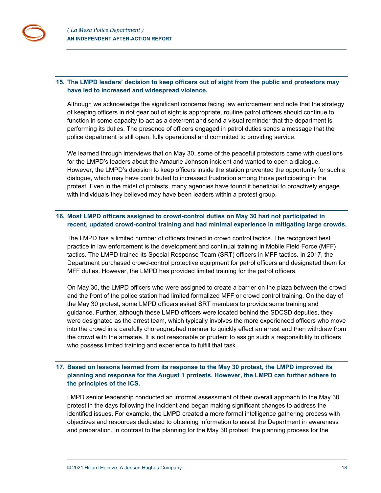## **15. The LMPD leaders' decision to keep officers out of sight from the public and protestors may have led to increased and widespread violence.**

Although we acknowledge the significant concerns facing law enforcement and note that the strategy of keeping officers in riot gear out of sight is appropriate, routine patrol officers should continue to function in some capacity to act as a deterrent and send a visual reminder that the department is performing its duties. The presence of officers engaged in patrol duties sends a message that the police department is still open, fully operational and committed to providing service.

We learned through interviews that on May 30, some of the peaceful protestors came with questions for the LMPD's leaders about the Amaurie Johnson incident and wanted to open a dialogue. However, the LMPD's decision to keep officers inside the station prevented the opportunity for such a dialogue, which may have contributed to increased frustration among those participating in the protest. Even in the midst of protests, many agencies have found it beneficial to proactively engage with individuals they believed may have been leaders within a protest group.

## **16. Most LMPD officers assigned to crowd-control duties on May 30 had not participated in recent, updated crowd-control training and had minimal experience in mitigating large crowds.**

The LMPD has a limited number of officers trained in crowd control tactics. The recognized best practice in law enforcement is the development and continual training in Mobile Field Force (MFF) tactics. The LMPD trained its Special Response Team (SRT) officers in MFF tactics. In 2017, the Department purchased crowd-control protective equipment for patrol officers and designated them for MFF duties. However, the LMPD has provided limited training for the patrol officers.

On May 30, the LMPD officers who were assigned to create a barrier on the plaza between the crowd and the front of the police station had limited formalized MFF or crowd control training. On the day of the May 30 protest, some LMPD officers asked SRT members to provide some training and guidance. Further, although these LMPD officers were located behind the SDCSD deputies, they were designated as the arrest team, which typically involves the more experienced officers who move into the crowd in a carefully choreographed manner to quickly effect an arrest and then withdraw from the crowd with the arrestee. It is not reasonable or prudent to assign such a responsibility to officers who possess limited training and experience to fulfill that task.

## **17. Based on lessons learned from its response to the May 30 protest, the LMPD improved its planning and response for the August 1 protests. However, the LMPD can further adhere to the principles of the ICS.**

LMPD senior leadership conducted an informal assessment of their overall approach to the May 30 protest in the days following the incident and began making significant changes to address the identified issues. For example, the LMPD created a more formal intelligence gathering process with objectives and resources dedicated to obtaining information to assist the Department in awareness and preparation. In contrast to the planning for the May 30 protest, the planning process for the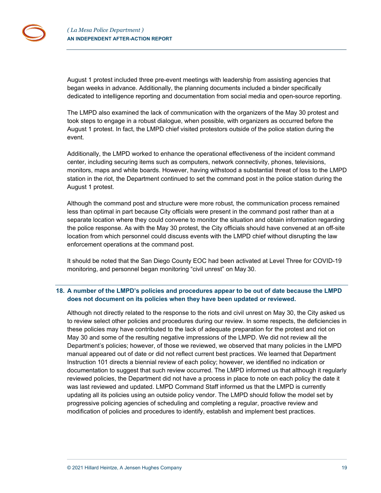August 1 protest included three pre-event meetings with leadership from assisting agencies that began weeks in advance. Additionally, the planning documents included a binder specifically dedicated to intelligence reporting and documentation from social media and open-source reporting.

The LMPD also examined the lack of communication with the organizers of the May 30 protest and took steps to engage in a robust dialogue, when possible, with organizers as occurred before the August 1 protest. In fact, the LMPD chief visited protestors outside of the police station during the event.

Additionally, the LMPD worked to enhance the operational effectiveness of the incident command center, including securing items such as computers, network connectivity, phones, televisions, monitors, maps and white boards. However, having withstood a substantial threat of loss to the LMPD station in the riot, the Department continued to set the command post in the police station during the August 1 protest.

Although the command post and structure were more robust, the communication process remained less than optimal in part because City officials were present in the command post rather than at a separate location where they could convene to monitor the situation and obtain information regarding the police response. As with the May 30 protest, the City officials should have convened at an off-site location from which personnel could discuss events with the LMPD chief without disrupting the law enforcement operations at the command post.

It should be noted that the San Diego County EOC had been activated at Level Three for COVID-19 monitoring, and personnel began monitoring "civil unrest" on May 30.

## **18. A number of the LMPD's policies and procedures appear to be out of date because the LMPD does not document on its policies when they have been updated or reviewed.**

Although not directly related to the response to the riots and civil unrest on May 30, the City asked us to review select other policies and procedures during our review. In some respects, the deficiencies in these policies may have contributed to the lack of adequate preparation for the protest and riot on May 30 and some of the resulting negative impressions of the LMPD. We did not review all the Department's policies; however, of those we reviewed, we observed that many policies in the LMPD manual appeared out of date or did not reflect current best practices. We learned that Department Instruction 101 directs a biennial review of each policy; however, we identified no indication or documentation to suggest that such review occurred. The LMPD informed us that although it regularly reviewed policies, the Department did not have a process in place to note on each policy the date it was last reviewed and updated. LMPD Command Staff informed us that the LMPD is currently updating all its policies using an outside policy vendor. The LMPD should follow the model set by progressive policing agencies of scheduling and completing a regular, proactive review and modification of policies and procedures to identify, establish and implement best practices.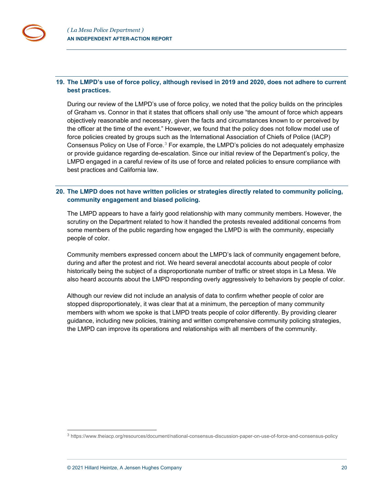## **19. The LMPD's use of force policy, although revised in 2019 and 2020, does not adhere to current best practices.**

During our review of the LMPD's use of force policy, we noted that the policy builds on the principles of Graham vs. Connor in that it states that officers shall only use "the amount of force which appears objectively reasonable and necessary, given the facts and circumstances known to or perceived by the officer at the time of the event." However, we found that the policy does not follow model use of force policies created by groups such as the International Association of Chiefs of Police (IACP) Consensus Policy on Use of Force.<sup>[3](#page-19-0)</sup> For example, the LMPD's policies do not adequately emphasize or provide guidance regarding de-escalation. Since our initial review of the Department's policy, the LMPD engaged in a careful review of its use of force and related policies to ensure compliance with best practices and California law.

## **20. The LMPD does not have written policies or strategies directly related to community policing, community engagement and biased policing.**

The LMPD appears to have a fairly good relationship with many community members. However, the scrutiny on the Department related to how it handled the protests revealed additional concerns from some members of the public regarding how engaged the LMPD is with the community, especially people of color.

Community members expressed concern about the LMPD's lack of community engagement before, during and after the protest and riot. We heard several anecdotal accounts about people of color historically being the subject of a disproportionate number of traffic or street stops in La Mesa. We also heard accounts about the LMPD responding overly aggressively to behaviors by people of color.

Although our review did not include an analysis of data to confirm whether people of color are stopped disproportionately, it was clear that at a minimum, the perception of many community members with whom we spoke is that LMPD treats people of color differently. By providing clearer guidance, including new policies, training and written comprehensive community policing strategies, the LMPD can improve its operations and relationships with all members of the community.

<span id="page-19-0"></span><sup>3</sup> https://www.theiacp.org/resources/document/national-consensus-discussion-paper-on-use-of-force-and-consensus-policy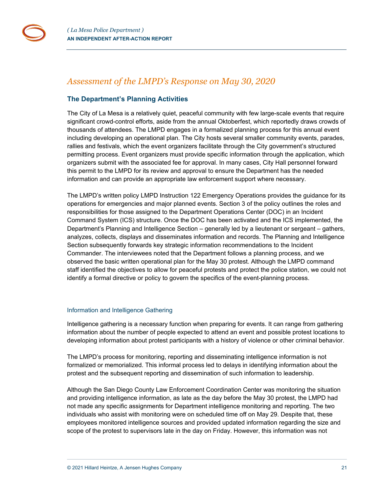## <span id="page-20-0"></span>*Assessment of the LMPD's Response on May 30, 2020*

## <span id="page-20-1"></span>**The Department's Planning Activities**

The City of La Mesa is a relatively quiet, peaceful community with few large-scale events that require significant crowd-control efforts, aside from the annual Oktoberfest, which reportedly draws crowds of thousands of attendees. The LMPD engages in a formalized planning process for this annual event including developing an operational plan. The City hosts several smaller community events, parades, rallies and festivals, which the event organizers facilitate through the City government's structured permitting process. Event organizers must provide specific information through the application, which organizers submit with the associated fee for approval. In many cases, City Hall personnel forward this permit to the LMPD for its review and approval to ensure the Department has the needed information and can provide an appropriate law enforcement support where necessary.

The LMPD's written policy LMPD Instruction 122 Emergency Operations provides the guidance for its operations for emergencies and major planned events. Section 3 of the policy outlines the roles and responsibilities for those assigned to the Department Operations Center (DOC) in an Incident Command System (ICS) structure. Once the DOC has been activated and the ICS implemented, the Department's Planning and Intelligence Section – generally led by a lieutenant or sergeant – gathers, analyzes, collects, displays and disseminates information and records. The Planning and Intelligence Section subsequently forwards key strategic information recommendations to the Incident Commander. The interviewees noted that the Department follows a planning process, and we observed the basic written operational plan for the May 30 protest. Although the LMPD command staff identified the objectives to allow for peaceful protests and protect the police station, we could not identify a formal directive or policy to govern the specifics of the event-planning process.

## <span id="page-20-2"></span>Information and Intelligence Gathering

Intelligence gathering is a necessary function when preparing for events. It can range from gathering information about the number of people expected to attend an event and possible protest locations to developing information about protest participants with a history of violence or other criminal behavior.

The LMPD's process for monitoring, reporting and disseminating intelligence information is not formalized or memorialized. This informal process led to delays in identifying information about the protest and the subsequent reporting and dissemination of such information to leadership.

Although the San Diego County Law Enforcement Coordination Center was monitoring the situation and providing intelligence information, as late as the day before the May 30 protest, the LMPD had not made any specific assignments for Department intelligence monitoring and reporting. The two individuals who assist with monitoring were on scheduled time off on May 29. Despite that, these employees monitored intelligence sources and provided updated information regarding the size and scope of the protest to supervisors late in the day on Friday. However, this information was not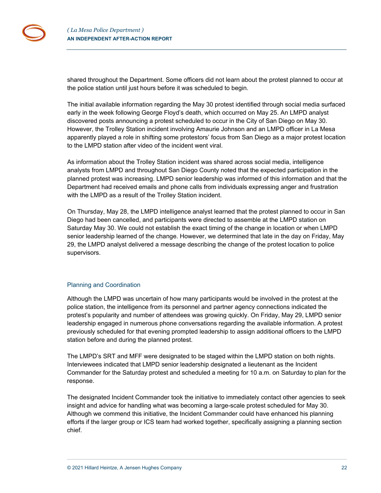shared throughout the Department. Some officers did not learn about the protest planned to occur at the police station until just hours before it was scheduled to begin.

The initial available information regarding the May 30 protest identified through social media surfaced early in the week following George Floyd's death, which occurred on May 25. An LMPD analyst discovered posts announcing a protest scheduled to occur in the City of San Diego on May 30. However, the Trolley Station incident involving Amaurie Johnson and an LMPD officer in La Mesa apparently played a role in shifting some protestors' focus from San Diego as a major protest location to the LMPD station after video of the incident went viral.

As information about the Trolley Station incident was shared across social media, intelligence analysts from LMPD and throughout San Diego County noted that the expected participation in the planned protest was increasing. LMPD senior leadership was informed of this information and that the Department had received emails and phone calls from individuals expressing anger and frustration with the LMPD as a result of the Trolley Station incident.

On Thursday, May 28, the LMPD intelligence analyst learned that the protest planned to occur in San Diego had been cancelled, and participants were directed to assemble at the LMPD station on Saturday May 30. We could not establish the exact timing of the change in location or when LMPD senior leadership learned of the change. However, we determined that late in the day on Friday, May 29, the LMPD analyst delivered a message describing the change of the protest location to police supervisors.

## <span id="page-21-0"></span>Planning and Coordination

Although the LMPD was uncertain of how many participants would be involved in the protest at the police station, the intelligence from its personnel and partner agency connections indicated the protest's popularity and number of attendees was growing quickly. On Friday, May 29, LMPD senior leadership engaged in numerous phone conversations regarding the available information. A protest previously scheduled for that evening prompted leadership to assign additional officers to the LMPD station before and during the planned protest.

The LMPD's SRT and MFF were designated to be staged within the LMPD station on both nights. Interviewees indicated that LMPD senior leadership designated a lieutenant as the Incident Commander for the Saturday protest and scheduled a meeting for 10 a.m. on Saturday to plan for the response.

The designated Incident Commander took the initiative to immediately contact other agencies to seek insight and advice for handling what was becoming a large-scale protest scheduled for May 30. Although we commend this initiative, the Incident Commander could have enhanced his planning efforts if the larger group or ICS team had worked together, specifically assigning a planning section chief.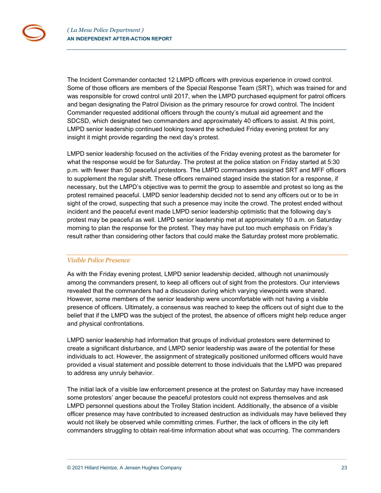The Incident Commander contacted 12 LMPD officers with previous experience in crowd control. Some of those officers are members of the Special Response Team (SRT), which was trained for and was responsible for crowd control until 2017, when the LMPD purchased equipment for patrol officers and began designating the Patrol Division as the primary resource for crowd control. The Incident Commander requested additional officers through the county's mutual aid agreement and the SDCSD, which designated two commanders and approximately 40 officers to assist. At this point, LMPD senior leadership continued looking toward the scheduled Friday evening protest for any insight it might provide regarding the next day's protest.

LMPD senior leadership focused on the activities of the Friday evening protest as the barometer for what the response would be for Saturday. The protest at the police station on Friday started at 5:30 p.m. with fewer than 50 peaceful protestors. The LMPD commanders assigned SRT and MFF officers to supplement the regular shift. These officers remained staged inside the station for a response, if necessary, but the LMPD's objective was to permit the group to assemble and protest so long as the protest remained peaceful. LMPD senior leadership decided not to send any officers out or to be in sight of the crowd, suspecting that such a presence may incite the crowd. The protest ended without incident and the peaceful event made LMPD senior leadership optimistic that the following day's protest may be peaceful as well. LMPD senior leadership met at approximately 10 a.m. on Saturday morning to plan the response for the protest. They may have put too much emphasis on Friday's result rather than considering other factors that could make the Saturday protest more problematic.

#### *Visible Police Presence*

As with the Friday evening protest, LMPD senior leadership decided, although not unanimously among the commanders present, to keep all officers out of sight from the protestors. Our interviews revealed that the commanders had a discussion during which varying viewpoints were shared. However, some members of the senior leadership were uncomfortable with not having a visible presence of officers. Ultimately, a consensus was reached to keep the officers out of sight due to the belief that if the LMPD was the subject of the protest, the absence of officers might help reduce anger and physical confrontations.

LMPD senior leadership had information that groups of individual protestors were determined to create a significant disturbance, and LMPD senior leadership was aware of the potential for these individuals to act. However, the assignment of strategically positioned uniformed officers would have provided a visual statement and possible deterrent to those individuals that the LMPD was prepared to address any unruly behavior.

The initial lack of a visible law enforcement presence at the protest on Saturday may have increased some protestors' anger because the peaceful protestors could not express themselves and ask LMPD personnel questions about the Trolley Station incident. Additionally, the absence of a visible officer presence may have contributed to increased destruction as individuals may have believed they would not likely be observed while committing crimes. Further, the lack of officers in the city left commanders struggling to obtain real-time information about what was occurring. The commanders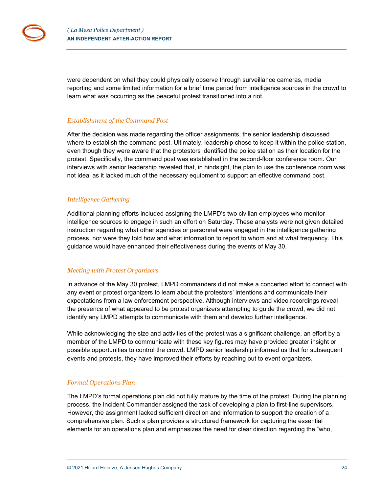were dependent on what they could physically observe through surveillance cameras, media reporting and some limited information for a brief time period from intelligence sources in the crowd to learn what was occurring as the peaceful protest transitioned into a riot.

#### *Establishment of the Command Post*

After the decision was made regarding the officer assignments, the senior leadership discussed where to establish the command post. Ultimately, leadership chose to keep it within the police station, even though they were aware that the protestors identified the police station as their location for the protest. Specifically, the command post was established in the second-floor conference room. Our interviews with senior leadership revealed that, in hindsight, the plan to use the conference room was not ideal as it lacked much of the necessary equipment to support an effective command post.

#### *Intelligence Gathering*

Additional planning efforts included assigning the LMPD's two civilian employees who monitor intelligence sources to engage in such an effort on Saturday. These analysts were not given detailed instruction regarding what other agencies or personnel were engaged in the intelligence gathering process, nor were they told how and what information to report to whom and at what frequency. This guidance would have enhanced their effectiveness during the events of May 30.

#### *Meeting with Protest Organizers*

In advance of the May 30 protest, LMPD commanders did not make a concerted effort to connect with any event or protest organizers to learn about the protestors' intentions and communicate their expectations from a law enforcement perspective. Although interviews and video recordings reveal the presence of what appeared to be protest organizers attempting to guide the crowd, we did not identify any LMPD attempts to communicate with them and develop further intelligence.

While acknowledging the size and activities of the protest was a significant challenge, an effort by a member of the LMPD to communicate with these key figures may have provided greater insight or possible opportunities to control the crowd. LMPD senior leadership informed us that for subsequent events and protests, they have improved their efforts by reaching out to event organizers.

#### *Formal Operations Plan*

The LMPD's formal operations plan did not fully mature by the time of the protest. During the planning process, the Incident Commander assigned the task of developing a plan to first-line supervisors. However, the assignment lacked sufficient direction and information to support the creation of a comprehensive plan. Such a plan provides a structured framework for capturing the essential elements for an operations plan and emphasizes the need for clear direction regarding the "who,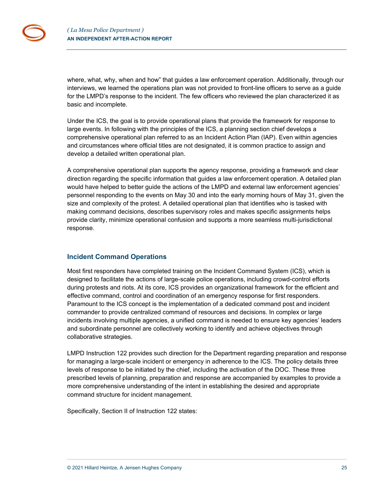where, what, why, when and how" that guides a law enforcement operation. Additionally, through our interviews, we learned the operations plan was not provided to front-line officers to serve as a guide for the LMPD's response to the incident. The few officers who reviewed the plan characterized it as basic and incomplete.

Under the ICS, the goal is to provide operational plans that provide the framework for response to large events. In following with the principles of the ICS, a planning section chief develops a comprehensive operational plan referred to as an Incident Action Plan (IAP). Even within agencies and circumstances where official titles are not designated, it is common practice to assign and develop a detailed written operational plan.

A comprehensive operational plan supports the agency response, providing a framework and clear direction regarding the specific information that guides a law enforcement operation. A detailed plan would have helped to better guide the actions of the LMPD and external law enforcement agencies' personnel responding to the events on May 30 and into the early morning hours of May 31, given the size and complexity of the protest. A detailed operational plan that identifies who is tasked with making command decisions, describes supervisory roles and makes specific assignments helps provide clarity, minimize operational confusion and supports a more seamless multi-jurisdictional response.

## <span id="page-24-0"></span>**Incident Command Operations**

Most first responders have completed training on the Incident Command System (ICS), which is designed to facilitate the actions of large-scale police operations, including crowd-control efforts during protests and riots. At its core, ICS provides an organizational framework for the efficient and effective command, control and coordination of an emergency response for first responders. Paramount to the ICS concept is the implementation of a dedicated command post and incident commander to provide centralized command of resources and decisions. In complex or large incidents involving multiple agencies, a unified command is needed to ensure key agencies' leaders and subordinate personnel are collectively working to identify and achieve objectives through collaborative strategies.

LMPD Instruction 122 provides such direction for the Department regarding preparation and response for managing a large-scale incident or emergency in adherence to the ICS. The policy details three levels of response to be initiated by the chief, including the activation of the DOC. These three prescribed levels of planning, preparation and response are accompanied by examples to provide a more comprehensive understanding of the intent in establishing the desired and appropriate command structure for incident management.

Specifically, Section II of Instruction 122 states: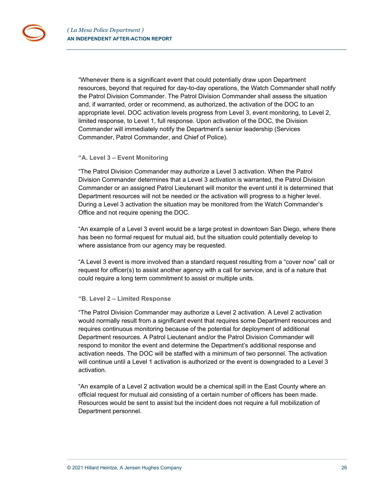"Whenever there is a significant event that could potentially draw upon Department resources, beyond that required for day-to-day operations, the Watch Commander shall notify the Patrol Division Commander. The Patrol Division Commander shall assess the situation and, if warranted, order or recommend, as authorized, the activation of the DOC to an appropriate level. DOC activation levels progress from Level 3, event monitoring, to Level 2, limited response, to Level 1, full response. Upon activation of the DOC, the Division Commander will immediately notify the Department's senior leadership (Services Commander, Patrol Commander, and Chief of Police).

#### **"A. Level 3 – Event Monitoring**

"The Patrol Division Commander may authorize a Level 3 activation. When the Patrol Division Commander determines that a Level 3 activation is warranted, the Patrol Division Commander or an assigned Patrol Lieutenant will monitor the event until it is determined that Department resources will not be needed or the activation will progress to a higher level. During a Level 3 activation the situation may be monitored from the Watch Commander's Office and not require opening the DOC.

"An example of a Level 3 event would be a large protest in downtown San Diego, where there has been no formal request for mutual aid, but the situation could potentially develop to where assistance from our agency may be requested.

"A Level 3 event is more involved than a standard request resulting from a "cover now" call or request for officer(s) to assist another agency with a call for service, and is of a nature that could require a long term commitment to assist or multiple units.

#### **"B. Level 2 – Limited Response**

"The Patrol Division Commander may authorize a Level 2 activation. A Level 2 activation would normally result from a significant event that requires some Department resources and requires continuous monitoring because of the potential for deployment of additional Department resources. A Patrol Lieutenant and/or the Patrol Division Commander will respond to monitor the event and determine the Department's additional response and activation needs. The DOC will be staffed with a minimum of two personnel. The activation will continue until a Level 1 activation is authorized or the event is downgraded to a Level 3 activation.

"An example of a Level 2 activation would be a chemical spill in the East County where an official request for mutual aid consisting of a certain number of officers has been made. Resources would be sent to assist but the incident does not require a full mobilization of Department personnel.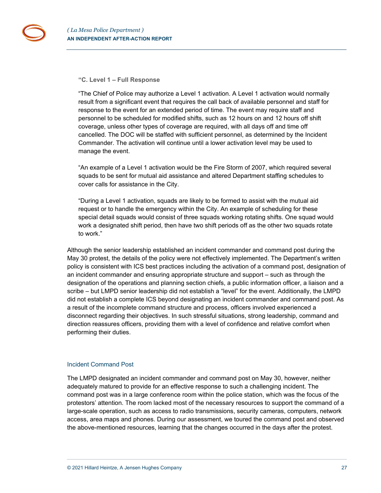#### **"C. Level 1 – Full Response**

"The Chief of Police may authorize a Level 1 activation. A Level 1 activation would normally result from a significant event that requires the call back of available personnel and staff for response to the event for an extended period of time. The event may require staff and personnel to be scheduled for modified shifts, such as 12 hours on and 12 hours off shift coverage, unless other types of coverage are required, with all days off and time off cancelled. The DOC will be staffed with sufficient personnel, as determined by the Incident Commander. The activation will continue until a lower activation level may be used to manage the event.

"An example of a Level 1 activation would be the Fire Storm of 2007, which required several squads to be sent for mutual aid assistance and altered Department staffing schedules to cover calls for assistance in the City.

"During a Level 1 activation, squads are likely to be formed to assist with the mutual aid request or to handle the emergency within the City. An example of scheduling for these special detail squads would consist of three squads working rotating shifts. One squad would work a designated shift period, then have two shift periods off as the other two squads rotate to work."

Although the senior leadership established an incident commander and command post during the May 30 protest, the details of the policy were not effectively implemented. The Department's written policy is consistent with ICS best practices including the activation of a command post, designation of an incident commander and ensuring appropriate structure and support – such as through the designation of the operations and planning section chiefs, a public information officer, a liaison and a scribe – but LMPD senior leadership did not establish a "level" for the event. Additionally, the LMPD did not establish a complete ICS beyond designating an incident commander and command post. As a result of the incomplete command structure and process, officers involved experienced a disconnect regarding their objectives. In such stressful situations, strong leadership, command and direction reassures officers, providing them with a level of confidence and relative comfort when performing their duties.

#### <span id="page-26-0"></span>Incident Command Post

The LMPD designated an incident commander and command post on May 30, however, neither adequately matured to provide for an effective response to such a challenging incident. The command post was in a large conference room within the police station, which was the focus of the protestors' attention. The room lacked most of the necessary resources to support the command of a large-scale operation, such as access to radio transmissions, security cameras, computers, network access, area maps and phones. During our assessment, we toured the command post and observed the above-mentioned resources, learning that the changes occurred in the days after the protest.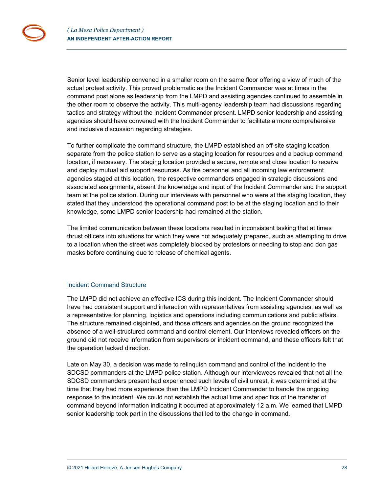Senior level leadership convened in a smaller room on the same floor offering a view of much of the actual protest activity. This proved problematic as the Incident Commander was at times in the command post alone as leadership from the LMPD and assisting agencies continued to assemble in the other room to observe the activity. This multi-agency leadership team had discussions regarding tactics and strategy without the Incident Commander present. LMPD senior leadership and assisting agencies should have convened with the Incident Commander to facilitate a more comprehensive and inclusive discussion regarding strategies.

To further complicate the command structure, the LMPD established an off-site staging location separate from the police station to serve as a staging location for resources and a backup command location, if necessary. The staging location provided a secure, remote and close location to receive and deploy mutual aid support resources. As fire personnel and all incoming law enforcement agencies staged at this location, the respective commanders engaged in strategic discussions and associated assignments, absent the knowledge and input of the Incident Commander and the support team at the police station. During our interviews with personnel who were at the staging location, they stated that they understood the operational command post to be at the staging location and to their knowledge, some LMPD senior leadership had remained at the station.

The limited communication between these locations resulted in inconsistent tasking that at times thrust officers into situations for which they were not adequately prepared, such as attempting to drive to a location when the street was completely blocked by protestors or needing to stop and don gas masks before continuing due to release of chemical agents.

#### <span id="page-27-0"></span>Incident Command Structure

The LMPD did not achieve an effective ICS during this incident. The Incident Commander should have had consistent support and interaction with representatives from assisting agencies, as well as a representative for planning, logistics and operations including communications and public affairs. The structure remained disjointed, and those officers and agencies on the ground recognized the absence of a well-structured command and control element. Our interviews revealed officers on the ground did not receive information from supervisors or incident command, and these officers felt that the operation lacked direction.

Late on May 30, a decision was made to relinquish command and control of the incident to the SDCSD commanders at the LMPD police station. Although our interviewees revealed that not all the SDCSD commanders present had experienced such levels of civil unrest, it was determined at the time that they had more experience than the LMPD Incident Commander to handle the ongoing response to the incident. We could not establish the actual time and specifics of the transfer of command beyond information indicating it occurred at approximately 12 a.m. We learned that LMPD senior leadership took part in the discussions that led to the change in command.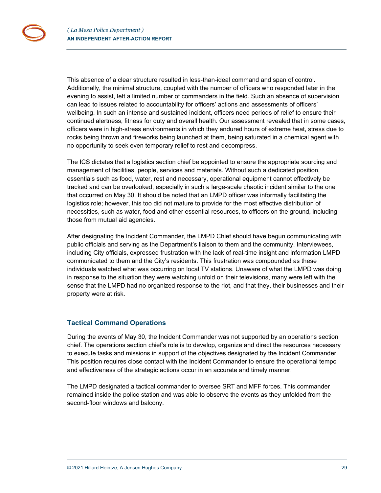This absence of a clear structure resulted in less-than-ideal command and span of control. Additionally, the minimal structure, coupled with the number of officers who responded later in the evening to assist, left a limited number of commanders in the field. Such an absence of supervision can lead to issues related to accountability for officers' actions and assessments of officers' wellbeing. In such an intense and sustained incident, officers need periods of relief to ensure their continued alertness, fitness for duty and overall health. Our assessment revealed that in some cases, officers were in high-stress environments in which they endured hours of extreme heat, stress due to rocks being thrown and fireworks being launched at them, being saturated in a chemical agent with no opportunity to seek even temporary relief to rest and decompress.

The ICS dictates that a logistics section chief be appointed to ensure the appropriate sourcing and management of facilities, people, services and materials. Without such a dedicated position, essentials such as food, water, rest and necessary, operational equipment cannot effectively be tracked and can be overlooked, especially in such a large-scale chaotic incident similar to the one that occurred on May 30. It should be noted that an LMPD officer was informally facilitating the logistics role; however, this too did not mature to provide for the most effective distribution of necessities, such as water, food and other essential resources, to officers on the ground, including those from mutual aid agencies.

After designating the Incident Commander, the LMPD Chief should have begun communicating with public officials and serving as the Department's liaison to them and the community. Interviewees, including City officials, expressed frustration with the lack of real-time insight and information LMPD communicated to them and the City's residents. This frustration was compounded as these individuals watched what was occurring on local TV stations. Unaware of what the LMPD was doing in response to the situation they were watching unfold on their televisions, many were left with the sense that the LMPD had no organized response to the riot, and that they, their businesses and their property were at risk.

## <span id="page-28-0"></span>**Tactical Command Operations**

During the events of May 30, the Incident Commander was not supported by an operations section chief. The operations section chief's role is to develop, organize and direct the resources necessary to execute tasks and missions in support of the objectives designated by the Incident Commander. This position requires close contact with the Incident Commander to ensure the operational tempo and effectiveness of the strategic actions occur in an accurate and timely manner.

The LMPD designated a tactical commander to oversee SRT and MFF forces. This commander remained inside the police station and was able to observe the events as they unfolded from the second-floor windows and balcony.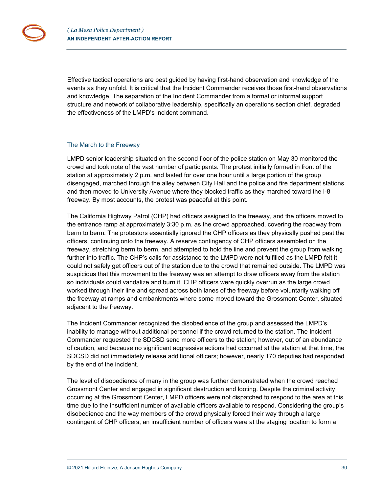Effective tactical operations are best guided by having first-hand observation and knowledge of the events as they unfold. It is critical that the Incident Commander receives those first-hand observations and knowledge. The separation of the Incident Commander from a formal or informal support structure and network of collaborative leadership, specifically an operations section chief, degraded the effectiveness of the LMPD's incident command.

#### <span id="page-29-0"></span>The March to the Freeway

LMPD senior leadership situated on the second floor of the police station on May 30 monitored the crowd and took note of the vast number of participants. The protest initially formed in front of the station at approximately 2 p.m. and lasted for over one hour until a large portion of the group disengaged, marched through the alley between City Hall and the police and fire department stations and then moved to University Avenue where they blocked traffic as they marched toward the I-8 freeway. By most accounts, the protest was peaceful at this point.

The California Highway Patrol (CHP) had officers assigned to the freeway, and the officers moved to the entrance ramp at approximately 3:30 p.m. as the crowd approached, covering the roadway from berm to berm. The protestors essentially ignored the CHP officers as they physically pushed past the officers, continuing onto the freeway. A reserve contingency of CHP officers assembled on the freeway, stretching berm to berm, and attempted to hold the line and prevent the group from walking further into traffic. The CHP's calls for assistance to the LMPD were not fulfilled as the LMPD felt it could not safely get officers out of the station due to the crowd that remained outside. The LMPD was suspicious that this movement to the freeway was an attempt to draw officers away from the station so individuals could vandalize and burn it. CHP officers were quickly overrun as the large crowd worked through their line and spread across both lanes of the freeway before voluntarily walking off the freeway at ramps and embankments where some moved toward the Grossmont Center, situated adjacent to the freeway.

The Incident Commander recognized the disobedience of the group and assessed the LMPD's inability to manage without additional personnel if the crowd returned to the station. The Incident Commander requested the SDCSD send more officers to the station; however, out of an abundance of caution, and because no significant aggressive actions had occurred at the station at that time, the SDCSD did not immediately release additional officers; however, nearly 170 deputies had responded by the end of the incident.

The level of disobedience of many in the group was further demonstrated when the crowd reached Grossmont Center and engaged in significant destruction and looting. Despite the criminal activity occurring at the Grossmont Center, LMPD officers were not dispatched to respond to the area at this time due to the insufficient number of available officers available to respond. Considering the group's disobedience and the way members of the crowd physically forced their way through a large contingent of CHP officers, an insufficient number of officers were at the staging location to form a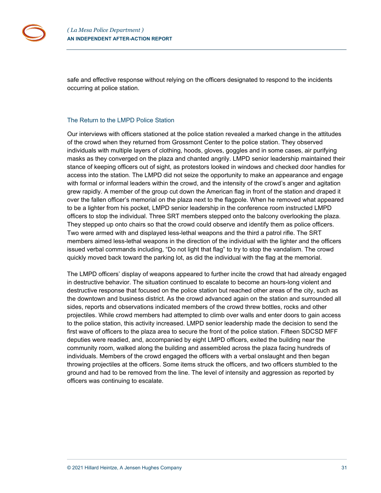

safe and effective response without relying on the officers designated to respond to the incidents occurring at police station.

#### <span id="page-30-0"></span>The Return to the LMPD Police Station

Our interviews with officers stationed at the police station revealed a marked change in the attitudes of the crowd when they returned from Grossmont Center to the police station. They observed individuals with multiple layers of clothing, hoods, gloves, goggles and in some cases, air purifying masks as they converged on the plaza and chanted angrily. LMPD senior leadership maintained their stance of keeping officers out of sight, as protestors looked in windows and checked door handles for access into the station. The LMPD did not seize the opportunity to make an appearance and engage with formal or informal leaders within the crowd, and the intensity of the crowd's anger and agitation grew rapidly. A member of the group cut down the American flag in front of the station and draped it over the fallen officer's memorial on the plaza next to the flagpole. When he removed what appeared to be a lighter from his pocket, LMPD senior leadership in the conference room instructed LMPD officers to stop the individual. Three SRT members stepped onto the balcony overlooking the plaza. They stepped up onto chairs so that the crowd could observe and identify them as police officers. Two were armed with and displayed less-lethal weapons and the third a patrol rifle. The SRT members aimed less-lethal weapons in the direction of the individual with the lighter and the officers issued verbal commands including, "Do not light that flag" to try to stop the vandalism. The crowd quickly moved back toward the parking lot, as did the individual with the flag at the memorial.

The LMPD officers' display of weapons appeared to further incite the crowd that had already engaged in destructive behavior. The situation continued to escalate to become an hours-long violent and destructive response that focused on the police station but reached other areas of the city, such as the downtown and business district. As the crowd advanced again on the station and surrounded all sides, reports and observations indicated members of the crowd threw bottles, rocks and other projectiles. While crowd members had attempted to climb over walls and enter doors to gain access to the police station, this activity increased. LMPD senior leadership made the decision to send the first wave of officers to the plaza area to secure the front of the police station. Fifteen SDCSD MFF deputies were readied, and, accompanied by eight LMPD officers, exited the building near the community room, walked along the building and assembled across the plaza facing hundreds of individuals. Members of the crowd engaged the officers with a verbal onslaught and then began throwing projectiles at the officers. Some items struck the officers, and two officers stumbled to the ground and had to be removed from the line. The level of intensity and aggression as reported by officers was continuing to escalate.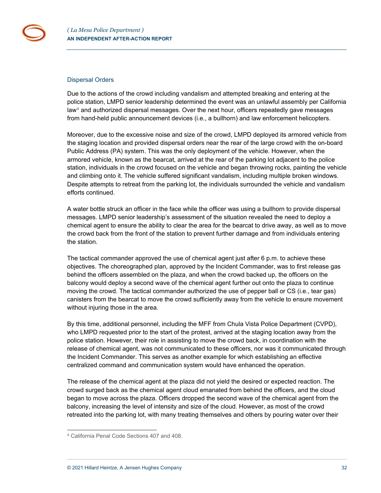#### <span id="page-31-0"></span>Dispersal Orders

Due to the actions of the crowd including vandalism and attempted breaking and entering at the police station, LMPD senior leadership determined the event was an unlawful assembly per California  $\text{law}^4$  $\text{law}^4$  and authorized dispersal messages. Over the next hour, officers repeatedly gave messages from hand-held public announcement devices (i.e., a bullhorn) and law enforcement helicopters.

Moreover, due to the excessive noise and size of the crowd, LMPD deployed its armored vehicle from the staging location and provided dispersal orders near the rear of the large crowd with the on-board Public Address (PA) system. This was the only deployment of the vehicle. However, when the armored vehicle, known as the bearcat, arrived at the rear of the parking lot adjacent to the police station, individuals in the crowd focused on the vehicle and began throwing rocks, painting the vehicle and climbing onto it. The vehicle suffered significant vandalism, including multiple broken windows. Despite attempts to retreat from the parking lot, the individuals surrounded the vehicle and vandalism efforts continued.

A water bottle struck an officer in the face while the officer was using a bullhorn to provide dispersal messages. LMPD senior leadership's assessment of the situation revealed the need to deploy a chemical agent to ensure the ability to clear the area for the bearcat to drive away, as well as to move the crowd back from the front of the station to prevent further damage and from individuals entering the station.

The tactical commander approved the use of chemical agent just after 6 p.m. to achieve these objectives. The choreographed plan, approved by the Incident Commander, was to first release gas behind the officers assembled on the plaza, and when the crowd backed up, the officers on the balcony would deploy a second wave of the chemical agent further out onto the plaza to continue moving the crowd. The tactical commander authorized the use of pepper ball or CS (i.e., tear gas) canisters from the bearcat to move the crowd sufficiently away from the vehicle to ensure movement without injuring those in the area.

By this time, additional personnel, including the MFF from Chula Vista Police Department (CVPD), who LMPD requested prior to the start of the protest, arrived at the staging location away from the police station. However, their role in assisting to move the crowd back, in coordination with the release of chemical agent, was not communicated to these officers, nor was it communicated through the Incident Commander. This serves as another example for which establishing an effective centralized command and communication system would have enhanced the operation.

The release of the chemical agent at the plaza did not yield the desired or expected reaction. The crowd surged back as the chemical agent cloud emanated from behind the officers, and the cloud began to move across the plaza. Officers dropped the second wave of the chemical agent from the balcony, increasing the level of intensity and size of the cloud. However, as most of the crowd retreated into the parking lot, with many treating themselves and others by pouring water over their

<span id="page-31-1"></span><sup>4</sup> California Penal Code Sections 407 and 408.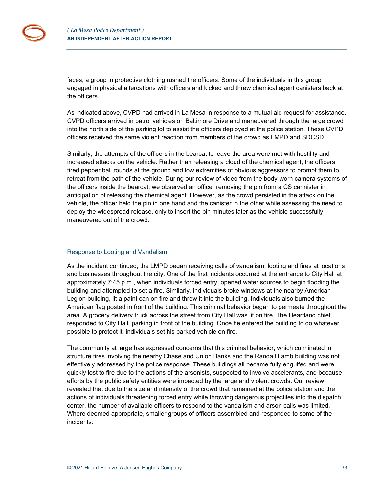faces, a group in protective clothing rushed the officers. Some of the individuals in this group engaged in physical altercations with officers and kicked and threw chemical agent canisters back at the officers.

As indicated above, CVPD had arrived in La Mesa in response to a mutual aid request for assistance. CVPD officers arrived in patrol vehicles on Baltimore Drive and maneuvered through the large crowd into the north side of the parking lot to assist the officers deployed at the police station. These CVPD officers received the same violent reaction from members of the crowd as LMPD and SDCSD.

Similarly, the attempts of the officers in the bearcat to leave the area were met with hostility and increased attacks on the vehicle. Rather than releasing a cloud of the chemical agent, the officers fired pepper ball rounds at the ground and low extremities of obvious aggressors to prompt them to retreat from the path of the vehicle. During our review of video from the body-worn camera systems of the officers inside the bearcat, we observed an officer removing the pin from a CS cannister in anticipation of releasing the chemical agent. However, as the crowd persisted in the attack on the vehicle, the officer held the pin in one hand and the canister in the other while assessing the need to deploy the widespread release, only to insert the pin minutes later as the vehicle successfully maneuvered out of the crowd.

#### <span id="page-32-0"></span>Response to Looting and Vandalism

As the incident continued, the LMPD began receiving calls of vandalism, looting and fires at locations and businesses throughout the city. One of the first incidents occurred at the entrance to City Hall at approximately 7:45 p.m., when individuals forced entry, opened water sources to begin flooding the building and attempted to set a fire. Similarly, individuals broke windows at the nearby American Legion building, lit a paint can on fire and threw it into the building. Individuals also burned the American flag posted in front of the building. This criminal behavior began to permeate throughout the area. A grocery delivery truck across the street from City Hall was lit on fire. The Heartland chief responded to City Hall, parking in front of the building. Once he entered the building to do whatever possible to protect it, individuals set his parked vehicle on fire.

The community at large has expressed concerns that this criminal behavior, which culminated in structure fires involving the nearby Chase and Union Banks and the Randall Lamb building was not effectively addressed by the police response. These buildings all became fully engulfed and were quickly lost to fire due to the actions of the arsonists, suspected to involve accelerants, and because efforts by the public safety entities were impacted by the large and violent crowds. Our review revealed that due to the size and intensity of the crowd that remained at the police station and the actions of individuals threatening forced entry while throwing dangerous projectiles into the dispatch center, the number of available officers to respond to the vandalism and arson calls was limited. Where deemed appropriate, smaller groups of officers assembled and responded to some of the incidents.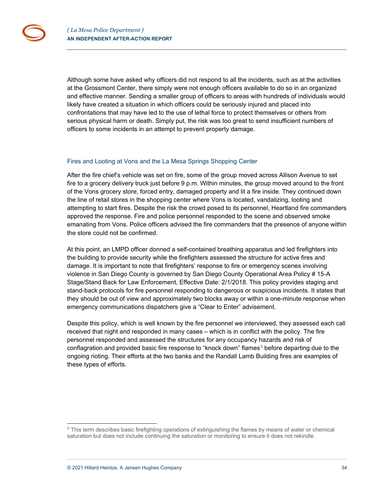Although some have asked why officers did not respond to all the incidents, such as at the activities at the Grossmont Center, there simply were not enough officers available to do so in an organized and effective manner. Sending a smaller group of officers to areas with hundreds of individuals would likely have created a situation in which officers could be seriously injured and placed into confrontations that may have led to the use of lethal force to protect themselves or others from serious physical harm or death. Simply put, the risk was too great to send insufficient numbers of officers to some incidents in an attempt to prevent property damage.

#### <span id="page-33-0"></span>Fires and Looting at Vons and the La Mesa Springs Shopping Center

After the fire chief's vehicle was set on fire, some of the group moved across Allison Avenue to set fire to a grocery delivery truck just before 9 p.m. Within minutes, the group moved around to the front of the Vons grocery store, forced entry, damaged property and lit a fire inside. They continued down the line of retail stores in the shopping center where Vons is located, vandalizing, looting and attempting to start fires. Despite the risk the crowd posed to its personnel, Heartland fire commanders approved the response. Fire and police personnel responded to the scene and observed smoke emanating from Vons. Police officers advised the fire commanders that the presence of anyone within the store could not be confirmed.

At this point, an LMPD officer donned a self-contained breathing apparatus and led firefighters into the building to provide security while the firefighters assessed the structure for active fires and damage. It is important to note that firefighters' response to fire or emergency scenes involving violence in San Diego County is governed by San Diego County Operational Area Policy # 15-A Stage/Stand Back for Law Enforcement, Effective Date: 2/1/2018. This policy provides staging and stand-back protocols for fire personnel responding to dangerous or suspicious incidents. It states that they should be out of view and approximately two blocks away or within a one-minute response when emergency communications dispatchers give a "Clear to Enter" advisement.

Despite this policy, which is well known by the fire personnel we interviewed, they assessed each call received that night and responded in many cases – which is in conflict with the policy. The fire personnel responded and assessed the structures for any occupancy hazards and risk of conflagration and provided basic fire response to "knock down" flames<sup>[5](#page-33-1)</sup> before departing due to the ongoing rioting. Their efforts at the two banks and the Randall Lamb Building fires are examples of these types of efforts.

<span id="page-33-1"></span><sup>5</sup> This term describes basic firefighting operations of extinguishing the flames by means of water or chemical saturation but does not include continuing the saturation or monitoring to ensure it does not rekindle.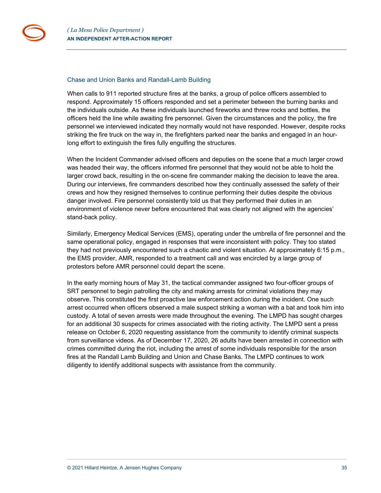

#### <span id="page-34-0"></span>Chase and Union Banks and Randall-Lamb Building

When calls to 911 reported structure fires at the banks, a group of police officers assembled to respond. Approximately 15 officers responded and set a perimeter between the burning banks and the individuals outside. As these individuals launched fireworks and threw rocks and bottles, the officers held the line while awaiting fire personnel. Given the circumstances and the policy, the fire personnel we interviewed indicated they normally would not have responded. However, despite rocks striking the fire truck on the way in, the firefighters parked near the banks and engaged in an hourlong effort to extinguish the fires fully engulfing the structures.

When the Incident Commander advised officers and deputies on the scene that a much larger crowd was headed their way, the officers informed fire personnel that they would not be able to hold the larger crowd back, resulting in the on-scene fire commander making the decision to leave the area. During our interviews, fire commanders described how they continually assessed the safety of their crews and how they resigned themselves to continue performing their duties despite the obvious danger involved. Fire personnel consistently told us that they performed their duties in an environment of violence never before encountered that was clearly not aligned with the agencies' stand-back policy.

Similarly, Emergency Medical Services (EMS), operating under the umbrella of fire personnel and the same operational policy, engaged in responses that were inconsistent with policy. They too stated they had not previously encountered such a chaotic and violent situation. At approximately 6:15 p.m., the EMS provider, AMR, responded to a treatment call and was encircled by a large group of protestors before AMR personnel could depart the scene.

In the early morning hours of May 31, the tactical commander assigned two four-officer groups of SRT personnel to begin patrolling the city and making arrests for criminal violations they may observe. This constituted the first proactive law enforcement action during the incident. One such arrest occurred when officers observed a male suspect striking a woman with a bat and took him into custody. A total of seven arrests were made throughout the evening. The LMPD has sought charges for an additional 30 suspects for crimes associated with the rioting activity. The LMPD sent a press release on October 6, 2020 requesting assistance from the community to identify criminal suspects from surveillance videos. As of December 17, 2020, 26 adults have been arrested in connection with crimes committed during the riot, including the arrest of some individuals responsible for the arson fires at the Randall Lamb Building and Union and Chase Banks. The LMPD continues to work diligently to identify additional suspects with assistance from the community.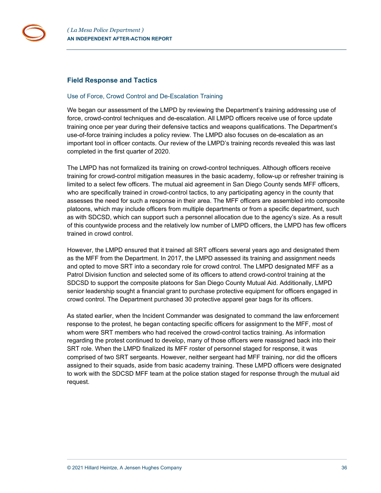

### <span id="page-35-0"></span>**Field Response and Tactics**

#### <span id="page-35-1"></span>Use of Force, Crowd Control and De-Escalation Training

We began our assessment of the LMPD by reviewing the Department's training addressing use of force, crowd-control techniques and de-escalation. All LMPD officers receive use of force update training once per year during their defensive tactics and weapons qualifications. The Department's use-of-force training includes a policy review. The LMPD also focuses on de-escalation as an important tool in officer contacts. Our review of the LMPD's training records revealed this was last completed in the first quarter of 2020.

The LMPD has not formalized its training on crowd-control techniques. Although officers receive training for crowd-control mitigation measures in the basic academy, follow-up or refresher training is limited to a select few officers. The mutual aid agreement in San Diego County sends MFF officers, who are specifically trained in crowd-control tactics, to any participating agency in the county that assesses the need for such a response in their area. The MFF officers are assembled into composite platoons, which may include officers from multiple departments or from a specific department, such as with SDCSD, which can support such a personnel allocation due to the agency's size. As a result of this countywide process and the relatively low number of LMPD officers, the LMPD has few officers trained in crowd control.

However, the LMPD ensured that it trained all SRT officers several years ago and designated them as the MFF from the Department. In 2017, the LMPD assessed its training and assignment needs and opted to move SRT into a secondary role for crowd control. The LMPD designated MFF as a Patrol Division function and selected some of its officers to attend crowd-control training at the SDCSD to support the composite platoons for San Diego County Mutual Aid. Additionally, LMPD senior leadership sought a financial grant to purchase protective equipment for officers engaged in crowd control. The Department purchased 30 protective apparel gear bags for its officers.

As stated earlier, when the Incident Commander was designated to command the law enforcement response to the protest, he began contacting specific officers for assignment to the MFF, most of whom were SRT members who had received the crowd-control tactics training. As information regarding the protest continued to develop, many of those officers were reassigned back into their SRT role. When the LMPD finalized its MFF roster of personnel staged for response, it was comprised of two SRT sergeants. However, neither sergeant had MFF training, nor did the officers assigned to their squads, aside from basic academy training. These LMPD officers were designated to work with the SDCSD MFF team at the police station staged for response through the mutual aid request.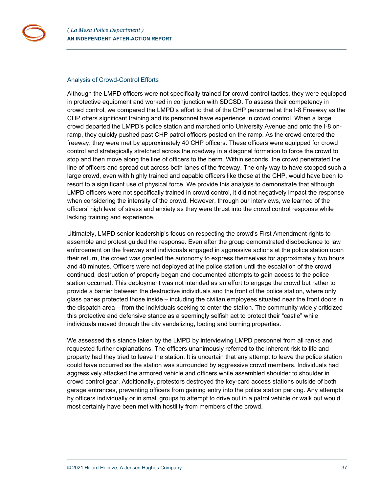

#### <span id="page-36-0"></span>Analysis of Crowd-Control Efforts

Although the LMPD officers were not specifically trained for crowd-control tactics, they were equipped in protective equipment and worked in conjunction with SDCSD. To assess their competency in crowd control, we compared the LMPD's effort to that of the CHP personnel at the I-8 Freeway as the CHP offers significant training and its personnel have experience in crowd control. When a large crowd departed the LMPD's police station and marched onto University Avenue and onto the I-8 onramp, they quickly pushed past CHP patrol officers posted on the ramp. As the crowd entered the freeway, they were met by approximately 40 CHP officers. These officers were equipped for crowd control and strategically stretched across the roadway in a diagonal formation to force the crowd to stop and then move along the line of officers to the berm. Within seconds, the crowd penetrated the line of officers and spread out across both lanes of the freeway. The only way to have stopped such a large crowd, even with highly trained and capable officers like those at the CHP, would have been to resort to a significant use of physical force. We provide this analysis to demonstrate that although LMPD officers were not specifically trained in crowd control, it did not negatively impact the response when considering the intensity of the crowd. However, through our interviews, we learned of the officers' high level of stress and anxiety as they were thrust into the crowd control response while lacking training and experience.

Ultimately, LMPD senior leadership's focus on respecting the crowd's First Amendment rights to assemble and protest guided the response. Even after the group demonstrated disobedience to law enforcement on the freeway and individuals engaged in aggressive actions at the police station upon their return, the crowd was granted the autonomy to express themselves for approximately two hours and 40 minutes. Officers were not deployed at the police station until the escalation of the crowd continued, destruction of property began and documented attempts to gain access to the police station occurred. This deployment was not intended as an effort to engage the crowd but rather to provide a barrier between the destructive individuals and the front of the police station, where only glass panes protected those inside – including the civilian employees situated near the front doors in the dispatch area – from the individuals seeking to enter the station. The community widely criticized this protective and defensive stance as a seemingly selfish act to protect their "castle" while individuals moved through the city vandalizing, looting and burning properties.

We assessed this stance taken by the LMPD by interviewing LMPD personnel from all ranks and requested further explanations. The officers unanimously referred to the inherent risk to life and property had they tried to leave the station. It is uncertain that any attempt to leave the police station could have occurred as the station was surrounded by aggressive crowd members. Individuals had aggressively attacked the armored vehicle and officers while assembled shoulder to shoulder in crowd control gear. Additionally, protestors destroyed the key-card access stations outside of both garage entrances, preventing officers from gaining entry into the police station parking. Any attempts by officers individually or in small groups to attempt to drive out in a patrol vehicle or walk out would most certainly have been met with hostility from members of the crowd.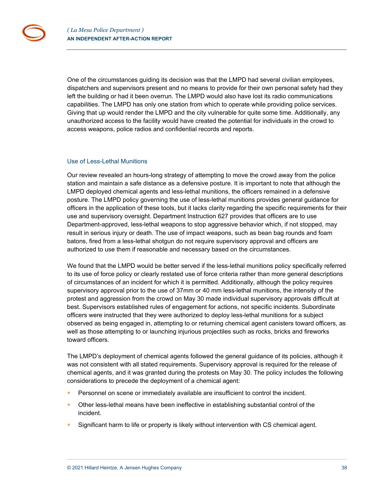One of the circumstances guiding its decision was that the LMPD had several civilian employees, dispatchers and supervisors present and no means to provide for their own personal safety had they left the building or had it been overrun. The LMPD would also have lost its radio communications capabilities. The LMPD has only one station from which to operate while providing police services. Giving that up would render the LMPD and the city vulnerable for quite some time. Additionally, any unauthorized access to the facility would have created the potential for individuals in the crowd to access weapons, police radios and confidential records and reports.

#### <span id="page-37-0"></span>Use of Less-Lethal Munitions

Our review revealed an hours-long strategy of attempting to move the crowd away from the police station and maintain a safe distance as a defensive posture. It is important to note that although the LMPD deployed chemical agents and less-lethal munitions, the officers remained in a defensive posture. The LMPD policy governing the use of less-lethal munitions provides general guidance for officers in the application of these tools, but it lacks clarity regarding the specific requirements for their use and supervisory oversight. Department Instruction 627 provides that officers are to use Department-approved, less-lethal weapons to stop aggressive behavior which, if not stopped, may result in serious injury or death. The use of impact weapons, such as bean bag rounds and foam batons, fired from a less-lethal shotgun do not require supervisory approval and officers are authorized to use them if reasonable and necessary based on the circumstances.

We found that the LMPD would be better served if the less-lethal munitions policy specifically referred to its use of force policy or clearly restated use of force criteria rather than more general descriptions of circumstances of an incident for which it is permitted. Additionally, although the policy requires supervisory approval prior to the use of 37mm or 40 mm less-lethal munitions, the intensity of the protest and aggression from the crowd on May 30 made individual supervisory approvals difficult at best. Supervisors established rules of engagement for actions, not specific incidents. Subordinate officers were instructed that they were authorized to deploy less-lethal munitions for a subject observed as being engaged in, attempting to or returning chemical agent canisters toward officers, as well as those attempting to or launching injurious projectiles such as rocks, bricks and fireworks toward officers.

The LMPD's deployment of chemical agents followed the general guidance of its policies, although it was not consistent with all stated requirements. Supervisory approval is required for the release of chemical agents, and it was granted during the protests on May 30. The policy includes the following considerations to precede the deployment of a chemical agent:

- $+$  Personnel on scene or immediately available are insufficient to control the incident.
- + Other less-lethal means have been ineffective in establishing substantial control of the incident.
- $+$  Significant harm to life or property is likely without intervention with CS chemical agent.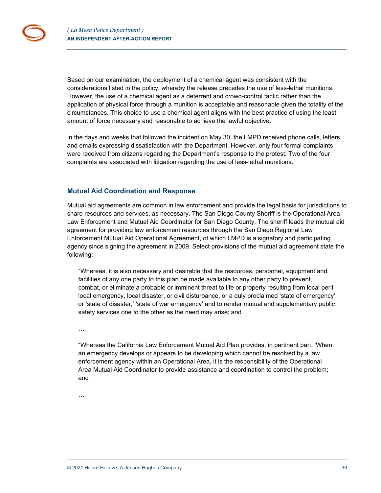Based on our examination, the deployment of a chemical agent was consistent with the considerations listed in the policy, whereby the release precedes the use of less-lethal munitions. However, the use of a chemical agent as a deterrent and crowd-control tactic rather than the application of physical force through a munition is acceptable and reasonable given the totality of the circumstances. This choice to use a chemical agent aligns with the best practice of using the least amount of force necessary and reasonable to achieve the lawful objective.

In the days and weeks that followed the incident on May 30, the LMPD received phone calls, letters and emails expressing dissatisfaction with the Department. However, only four formal complaints were received from citizens regarding the Department's response to the protest. Two of the four complaints are associated with litigation regarding the use of less-lethal munitions.

#### <span id="page-38-0"></span>**Mutual Aid Coordination and Response**

Mutual aid agreements are common in law enforcement and provide the legal basis for jurisdictions to share resources and services, as necessary. The San Diego County Sheriff is the Operational Area Law Enforcement and Mutual Aid Coordinator for San Diego County. The sheriff leads the mutual aid agreement for providing law enforcement resources through the San Diego Regional Law Enforcement Mutual Aid Operational Agreement, of which LMPD is a signatory and participating agency since signing the agreement in 2009. Select provisions of the mutual aid agreement state the following:

"Whereas, it is also necessary and desirable that the resources, personnel, equipment and facilities of any one party to this plan be made available to any other party to prevent, combat, or eliminate a probable or imminent threat to life or property resulting from local peril, local emergency, local disaster, or civil disturbance, or a duly proclaimed 'state of emergency' or 'state of disaster,' 'state of war emergency' and to render mutual and supplementary public safety services one to the other as the need may arise; and

…

"Whereas the California Law Enforcement Mutual Aid Plan provides, in pertinent part, 'When an emergency develops or appears to be developing which cannot be resolved by a law enforcement agency within an Operational Area, it is the responsibility of the Operational Area Mutual Aid Coordinator to provide assistance and coordination to control the problem; and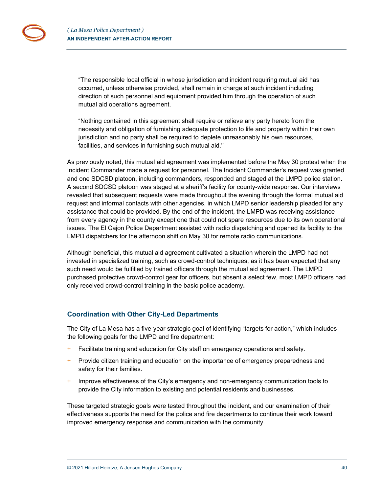"The responsible local official in whose jurisdiction and incident requiring mutual aid has occurred, unless otherwise provided, shall remain in charge at such incident including direction of such personnel and equipment provided him through the operation of such mutual aid operations agreement.

"Nothing contained in this agreement shall require or relieve any party hereto from the necessity and obligation of furnishing adequate protection to life and property within their own jurisdiction and no party shall be required to deplete unreasonably his own resources, facilities, and services in furnishing such mutual aid.'"

As previously noted, this mutual aid agreement was implemented before the May 30 protest when the Incident Commander made a request for personnel. The Incident Commander's request was granted and one SDCSD platoon, including commanders, responded and staged at the LMPD police station. A second SDCSD platoon was staged at a sheriff's facility for county-wide response. Our interviews revealed that subsequent requests were made throughout the evening through the formal mutual aid request and informal contacts with other agencies, in which LMPD senior leadership pleaded for any assistance that could be provided. By the end of the incident, the LMPD was receiving assistance from every agency in the county except one that could not spare resources due to its own operational issues. The El Cajon Police Department assisted with radio dispatching and opened its facility to the LMPD dispatchers for the afternoon shift on May 30 for remote radio communications.

Although beneficial, this mutual aid agreement cultivated a situation wherein the LMPD had not invested in specialized training, such as crowd-control techniques, as it has been expected that any such need would be fulfilled by trained officers through the mutual aid agreement. The LMPD purchased protective crowd-control gear for officers, but absent a select few, most LMPD officers had only received crowd-control training in the basic police academy**.** 

## <span id="page-39-0"></span>**Coordination with Other City-Led Departments**

The City of La Mesa has a five-year strategic goal of identifying "targets for action," which includes the following goals for the LMPD and fire department:

- + Facilitate training and education for City staff on emergency operations and safety.
- + Provide citizen training and education on the importance of emergency preparedness and safety for their families.
- $+$  Improve effectiveness of the City's emergency and non-emergency communication tools to provide the City information to existing and potential residents and businesses.

These targeted strategic goals were tested throughout the incident, and our examination of their effectiveness supports the need for the police and fire departments to continue their work toward improved emergency response and communication with the community.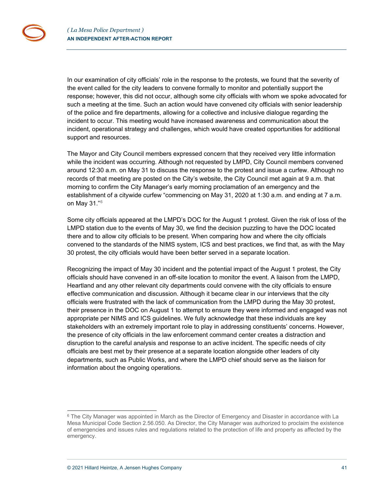In our examination of city officials' role in the response to the protests, we found that the severity of the event called for the city leaders to convene formally to monitor and potentially support the response; however, this did not occur, although some city officials with whom we spoke advocated for such a meeting at the time. Such an action would have convened city officials with senior leadership of the police and fire departments, allowing for a collective and inclusive dialogue regarding the incident to occur. This meeting would have increased awareness and communication about the incident, operational strategy and challenges, which would have created opportunities for additional support and resources.

The Mayor and City Council members expressed concern that they received very little information while the incident was occurring. Although not requested by LMPD, City Council members convened around 12:30 a.m. on May 31 to discuss the response to the protest and issue a curfew. Although no records of that meeting are posted on the City's website, the City Council met again at 9 a.m. that morning to confirm the City Manager's early morning proclamation of an emergency and the establishment of a citywide curfew "commencing on May 31, 2020 at 1:30 a.m. and ending at 7 a.m. on May 31."[6](#page-40-0)

Some city officials appeared at the LMPD's DOC for the August 1 protest. Given the risk of loss of the LMPD station due to the events of May 30, we find the decision puzzling to have the DOC located there and to allow city officials to be present. When comparing how and where the city officials convened to the standards of the NIMS system, ICS and best practices, we find that, as with the May 30 protest, the city officials would have been better served in a separate location.

Recognizing the impact of May 30 incident and the potential impact of the August 1 protest, the City officials should have convened in an off-site location to monitor the event. A liaison from the LMPD, Heartland and any other relevant city departments could convene with the city officials to ensure effective communication and discussion. Although it became clear in our interviews that the city officials were frustrated with the lack of communication from the LMPD during the May 30 protest, their presence in the DOC on August 1 to attempt to ensure they were informed and engaged was not appropriate per NIMS and ICS guidelines. We fully acknowledge that these individuals are key stakeholders with an extremely important role to play in addressing constituents' concerns. However, the presence of city officials in the law enforcement command center creates a distraction and disruption to the careful analysis and response to an active incident. The specific needs of city officials are best met by their presence at a separate location alongside other leaders of city departments, such as Public Works, and where the LMPD chief should serve as the liaison for information about the ongoing operations.

<span id="page-40-0"></span><sup>&</sup>lt;sup>6</sup> The City Manager was appointed in March as the Director of Emergency and Disaster in accordance with La Mesa Municipal Code Section 2.56.050. As Director, the City Manager was authorized to proclaim the existence of emergencies and issues rules and regulations related to the protection of life and property as affected by the emergency.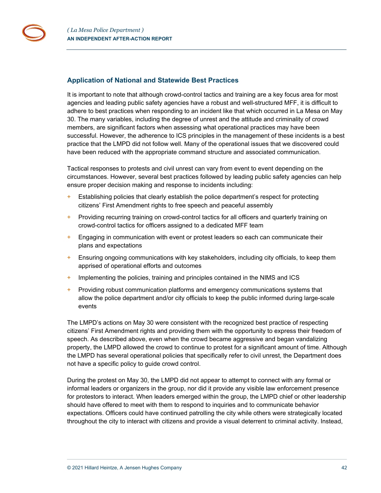## <span id="page-41-0"></span>**Application of National and Statewide Best Practices**

It is important to note that although crowd-control tactics and training are a key focus area for most agencies and leading public safety agencies have a robust and well-structured MFF, it is difficult to adhere to best practices when responding to an incident like that which occurred in La Mesa on May 30. The many variables, including the degree of unrest and the attitude and criminality of crowd members, are significant factors when assessing what operational practices may have been successful. However, the adherence to ICS principles in the management of these incidents is a best practice that the LMPD did not follow well. Many of the operational issues that we discovered could have been reduced with the appropriate command structure and associated communication.

Tactical responses to protests and civil unrest can vary from event to event depending on the circumstances. However, several best practices followed by leading public safety agencies can help ensure proper decision making and response to incidents including:

- Establishing policies that clearly establish the police department's respect for protecting citizens' First Amendment rights to free speech and peaceful assembly
- + Providing recurring training on crowd-control tactics for all officers and quarterly training on crowd-control tactics for officers assigned to a dedicated MFF team
- + Engaging in communication with event or protest leaders so each can communicate their plans and expectations
- + Ensuring ongoing communications with key stakeholders, including city officials, to keep them apprised of operational efforts and outcomes
- + Implementing the policies, training and principles contained in the NIMS and ICS
- + Providing robust communication platforms and emergency communications systems that allow the police department and/or city officials to keep the public informed during large-scale events

The LMPD's actions on May 30 were consistent with the recognized best practice of respecting citizens' First Amendment rights and providing them with the opportunity to express their freedom of speech. As described above, even when the crowd became aggressive and began vandalizing property, the LMPD allowed the crowd to continue to protest for a significant amount of time. Although the LMPD has several operational policies that specifically refer to civil unrest, the Department does not have a specific policy to guide crowd control.

During the protest on May 30, the LMPD did not appear to attempt to connect with any formal or informal leaders or organizers in the group, nor did it provide any visible law enforcement presence for protestors to interact. When leaders emerged within the group, the LMPD chief or other leadership should have offered to meet with them to respond to inquiries and to communicate behavior expectations. Officers could have continued patrolling the city while others were strategically located throughout the city to interact with citizens and provide a visual deterrent to criminal activity. Instead,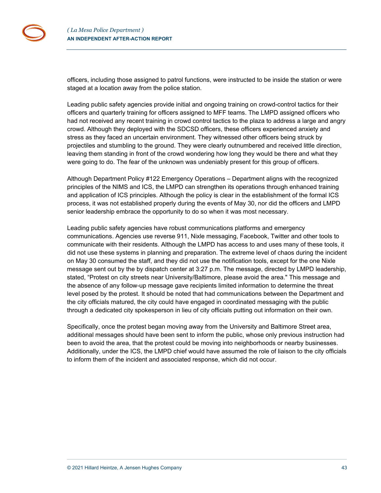officers, including those assigned to patrol functions, were instructed to be inside the station or were staged at a location away from the police station.

Leading public safety agencies provide initial and ongoing training on crowd-control tactics for their officers and quarterly training for officers assigned to MFF teams. The LMPD assigned officers who had not received any recent training in crowd control tactics to the plaza to address a large and angry crowd. Although they deployed with the SDCSD officers, these officers experienced anxiety and stress as they faced an uncertain environment. They witnessed other officers being struck by projectiles and stumbling to the ground. They were clearly outnumbered and received little direction, leaving them standing in front of the crowd wondering how long they would be there and what they were going to do. The fear of the unknown was undeniably present for this group of officers.

Although Department Policy #122 Emergency Operations – Department aligns with the recognized principles of the NIMS and ICS, the LMPD can strengthen its operations through enhanced training and application of ICS principles. Although the policy is clear in the establishment of the formal ICS process, it was not established properly during the events of May 30, nor did the officers and LMPD senior leadership embrace the opportunity to do so when it was most necessary.

Leading public safety agencies have robust communications platforms and emergency communications. Agencies use reverse 911, Nixle messaging, Facebook, Twitter and other tools to communicate with their residents. Although the LMPD has access to and uses many of these tools, it did not use these systems in planning and preparation. The extreme level of chaos during the incident on May 30 consumed the staff, and they did not use the notification tools, except for the one Nixle message sent out by the by dispatch center at 3:27 p.m. The message, directed by LMPD leadership, stated, "Protest on city streets near University/Baltimore, please avoid the area." This message and the absence of any follow-up message gave recipients limited information to determine the threat level posed by the protest. It should be noted that had communications between the Department and the city officials matured, the city could have engaged in coordinated messaging with the public through a dedicated city spokesperson in lieu of city officials putting out information on their own.

Specifically, once the protest began moving away from the University and Baltimore Street area, additional messages should have been sent to inform the public, whose only previous instruction had been to avoid the area, that the protest could be moving into neighborhoods or nearby businesses. Additionally, under the ICS, the LMPD chief would have assumed the role of liaison to the city officials to inform them of the incident and associated response, which did not occur.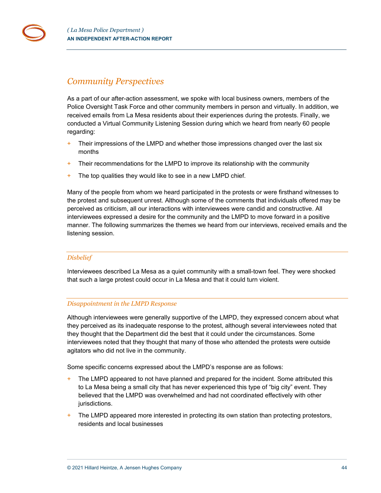## *Community Perspectives*

As a part of our after-action assessment, we spoke with local business owners, members of the Police Oversight Task Force and other community members in person and virtually. In addition, we received emails from La Mesa residents about their experiences during the protests. Finally, we conducted a Virtual Community Listening Session during which we heard from nearly 60 people regarding:

- $+$  Their impressions of the LMPD and whether those impressions changed over the last six months
- $+$  Their recommendations for the LMPD to improve its relationship with the community
- + The top qualities they would like to see in a new LMPD chief.

Many of the people from whom we heard participated in the protests or were firsthand witnesses to the protest and subsequent unrest. Although some of the comments that individuals offered may be perceived as criticism, all our interactions with interviewees were candid and constructive. All interviewees expressed a desire for the community and the LMPD to move forward in a positive manner. The following summarizes the themes we heard from our interviews, received emails and the listening session.

#### *Disbelief*

Interviewees described La Mesa as a quiet community with a small-town feel. They were shocked that such a large protest could occur in La Mesa and that it could turn violent.

## *Disappointment in the LMPD Response*

Although interviewees were generally supportive of the LMPD, they expressed concern about what they perceived as its inadequate response to the protest, although several interviewees noted that they thought that the Department did the best that it could under the circumstances. Some interviewees noted that they thought that many of those who attended the protests were outside agitators who did not live in the community.

Some specific concerns expressed about the LMPD's response are as follows:

- $+$  The LMPD appeared to not have planned and prepared for the incident. Some attributed this to La Mesa being a small city that has never experienced this type of "big city" event. They believed that the LMPD was overwhelmed and had not coordinated effectively with other jurisdictions.
- The LMPD appeared more interested in protecting its own station than protecting protestors, residents and local businesses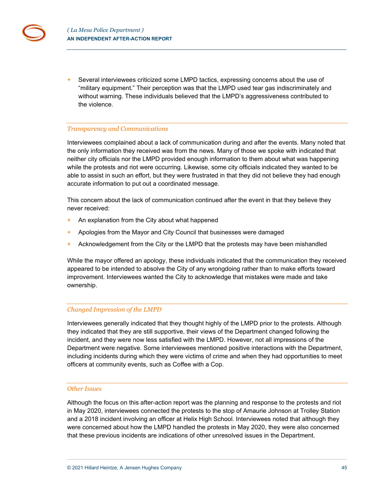+ Several interviewees criticized some LMPD tactics, expressing concerns about the use of "military equipment." Their perception was that the LMPD used tear gas indiscriminately and without warning. These individuals believed that the LMPD's aggressiveness contributed to the violence.

## *Transparency and Communications*

Interviewees complained about a lack of communication during and after the events. Many noted that the only information they received was from the news. Many of those we spoke with indicated that neither city officials nor the LMPD provided enough information to them about what was happening while the protests and riot were occurring. Likewise, some city officials indicated they wanted to be able to assist in such an effort, but they were frustrated in that they did not believe they had enough accurate information to put out a coordinated message.

This concern about the lack of communication continued after the event in that they believe they never received:

- + An explanation from the City about what happened
- + Apologies from the Mayor and City Council that businesses were damaged
- + Acknowledgement from the City or the LMPD that the protests may have been mishandled

While the mayor offered an apology, these individuals indicated that the communication they received appeared to be intended to absolve the City of any wrongdoing rather than to make efforts toward improvement. Interviewees wanted the City to acknowledge that mistakes were made and take ownership.

#### *Changed Impression of the LMPD*

Interviewees generally indicated that they thought highly of the LMPD prior to the protests. Although they indicated that they are still supportive, their views of the Department changed following the incident, and they were now less satisfied with the LMPD. However, not all impressions of the Department were negative. Some interviewees mentioned positive interactions with the Department, including incidents during which they were victims of crime and when they had opportunities to meet officers at community events, such as Coffee with a Cop.

#### *Other Issues*

Although the focus on this after-action report was the planning and response to the protests and riot in May 2020, interviewees connected the protests to the stop of Amaurie Johnson at Trolley Station and a 2018 incident involving an officer at Helix High School. Interviewees noted that although they were concerned about how the LMPD handled the protests in May 2020, they were also concerned that these previous incidents are indications of other unresolved issues in the Department.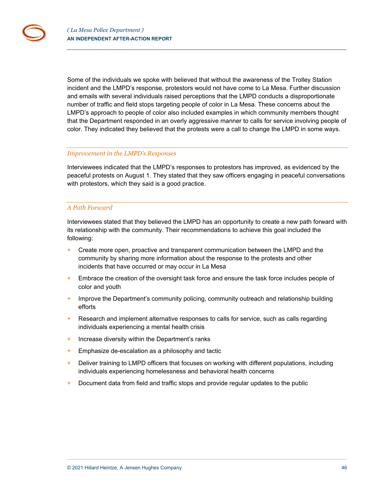Some of the individuals we spoke with believed that without the awareness of the Trolley Station incident and the LMPD's response, protestors would not have come to La Mesa. Further discussion and emails with several individuals raised perceptions that the LMPD conducts a disproportionate number of traffic and field stops targeting people of color in La Mesa. These concerns about the LMPD's approach to people of color also included examples in which community members thought that the Department responded in an overly aggressive manner to calls for service involving people of color. They indicated they believed that the protests were a call to change the LMPD in some ways.

#### *Improvement in the LMPD's Responses*

Interviewees indicated that the LMPD's responses to protestors has improved, as evidenced by the peaceful protests on August 1. They stated that they saw officers engaging in peaceful conversations with protestors, which they said is a good practice.

#### *A Path Forward*

Interviewees stated that they believed the LMPD has an opportunity to create a new path forward with its relationship with the community. Their recommendations to achieve this goal included the following:

- + Create more open, proactive and transparent communication between the LMPD and the community by sharing more information about the response to the protests and other incidents that have occurred or may occur in La Mesa
- + Embrace the creation of the oversight task force and ensure the task force includes people of color and youth
- + Improve the Department's community policing, community outreach and relationship building efforts
- + Research and implement alternative responses to calls for service, such as calls regarding individuals experiencing a mental health crisis
- + Increase diversity within the Department's ranks
- + Emphasize de-escalation as a philosophy and tactic
- + Deliver training to LMPD officers that focuses on working with different populations, including individuals experiencing homelessness and behavioral health concerns
- + Document data from field and traffic stops and provide regular updates to the public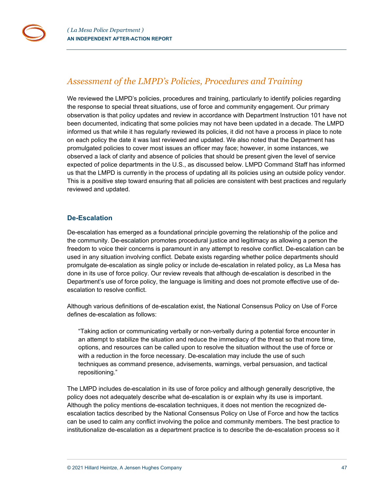## <span id="page-46-0"></span>*Assessment of the LMPD's Policies, Procedures and Training*

We reviewed the LMPD's policies, procedures and training, particularly to identify policies regarding the response to special threat situations, use of force and community engagement. Our primary observation is that policy updates and review in accordance with Department Instruction 101 have not been documented, indicating that some policies may not have been updated in a decade. The LMPD informed us that while it has regularly reviewed its policies, it did not have a process in place to note on each policy the date it was last reviewed and updated. We also noted that the Department has promulgated policies to cover most issues an officer may face; however, in some instances, we observed a lack of clarity and absence of policies that should be present given the level of service expected of police departments in the U.S., as discussed below. LMPD Command Staff has informed us that the LMPD is currently in the process of updating all its policies using an outside policy vendor. This is a positive step toward ensuring that all policies are consistent with best practices and regularly reviewed and updated.

## <span id="page-46-1"></span>**De-Escalation**

De-escalation has emerged as a foundational principle governing the relationship of the police and the community. De-escalation promotes procedural justice and legitimacy as allowing a person the freedom to voice their concerns is paramount in any attempt to resolve conflict. De-escalation can be used in any situation involving conflict. Debate exists regarding whether police departments should promulgate de-escalation as single policy or include de-escalation in related policy, as La Mesa has done in its use of force policy. Our review reveals that although de-escalation is described in the Department's use of force policy, the language is limiting and does not promote effective use of deescalation to resolve conflict.

Although various definitions of de-escalation exist, the National Consensus Policy on Use of Force defines de-escalation as follows:

"Taking action or communicating verbally or non-verbally during a potential force encounter in an attempt to stabilize the situation and reduce the immediacy of the threat so that more time, options, and resources can be called upon to resolve the situation without the use of force or with a reduction in the force necessary. De-escalation may include the use of such techniques as command presence, advisements, warnings, verbal persuasion, and tactical repositioning."

The LMPD includes de-escalation in its use of force policy and although generally descriptive, the policy does not adequately describe what de-escalation is or explain why its use is important. Although the policy mentions de-escalation techniques, it does not mention the recognized deescalation tactics described by the National Consensus Policy on Use of Force and how the tactics can be used to calm any conflict involving the police and community members. The best practice to institutionalize de-escalation as a department practice is to describe the de-escalation process so it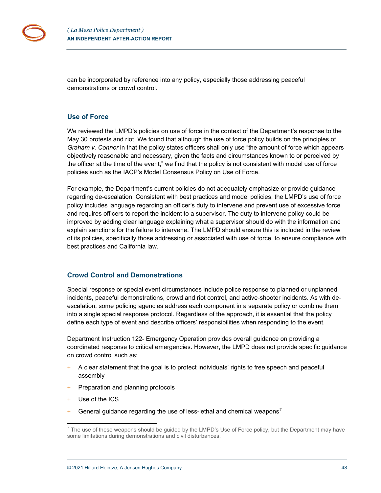

can be incorporated by reference into any policy, especially those addressing peaceful demonstrations or crowd control.

### <span id="page-47-0"></span>**Use of Force**

We reviewed the LMPD's policies on use of force in the context of the Department's response to the May 30 protests and riot. We found that although the use of force policy builds on the principles of *Graham v. Connor* in that the policy states officers shall only use "the amount of force which appears objectively reasonable and necessary, given the facts and circumstances known to or perceived by the officer at the time of the event," we find that the policy is not consistent with model use of force policies such as the IACP's Model Consensus Policy on Use of Force.

For example, the Department's current policies do not adequately emphasize or provide guidance regarding de-escalation. Consistent with best practices and model policies, the LMPD's use of force policy includes language regarding an officer's duty to intervene and prevent use of excessive force and requires officers to report the incident to a supervisor. The duty to intervene policy could be improved by adding clear language explaining what a supervisor should do with the information and explain sanctions for the failure to intervene. The LMPD should ensure this is included in the review of its policies, specifically those addressing or associated with use of force, to ensure compliance with best practices and California law.

#### <span id="page-47-1"></span>**Crowd Control and Demonstrations**

Special response or special event circumstances include police response to planned or unplanned incidents, peaceful demonstrations, crowd and riot control, and active-shooter incidents. As with deescalation, some policing agencies address each component in a separate policy or combine them into a single special response protocol. Regardless of the approach, it is essential that the policy define each type of event and describe officers' responsibilities when responding to the event.

Department Instruction 122- Emergency Operation provides overall guidance on providing a coordinated response to critical emergencies. However, the LMPD does not provide specific guidance on crowd control such as:

- $+$  A clear statement that the goal is to protect individuals' rights to free speech and peaceful assembly
- + Preparation and planning protocols
- + Use of the ICS
- $+$  General guidance regarding the use of less-lethal and chemical weapons<sup>[7](#page-47-2)</sup>

<span id="page-47-2"></span> $<sup>7</sup>$  The use of these weapons should be quided by the LMPD's Use of Force policy, but the Department may have</sup> some limitations during demonstrations and civil disturbances.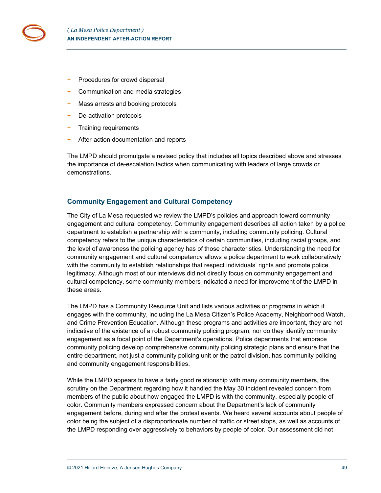

- + Procedures for crowd dispersal
- + Communication and media strategies
- + Mass arrests and booking protocols
- + De-activation protocols
- + Training requirements
- + After-action documentation and reports

The LMPD should promulgate a revised policy that includes all topics described above and stresses the importance of de-escalation tactics when communicating with leaders of large crowds or demonstrations.

## <span id="page-48-0"></span>**Community Engagement and Cultural Competency**

The City of La Mesa requested we review the LMPD's policies and approach toward community engagement and cultural competency. Community engagement describes all action taken by a police department to establish a partnership with a community, including community policing. Cultural competency refers to the unique characteristics of certain communities, including racial groups, and the level of awareness the policing agency has of those characteristics. Understanding the need for community engagement and cultural competency allows a police department to work collaboratively with the community to establish relationships that respect individuals' rights and promote police legitimacy. Although most of our interviews did not directly focus on community engagement and cultural competency, some community members indicated a need for improvement of the LMPD in these areas.

The LMPD has a Community Resource Unit and lists various activities or programs in which it engages with the community, including the La Mesa Citizen's Police Academy, Neighborhood Watch, and Crime Prevention Education. Although these programs and activities are important, they are not indicative of the existence of a robust community policing program, nor do they identify community engagement as a focal point of the Department's operations. Police departments that embrace community policing develop comprehensive community policing strategic plans and ensure that the entire department, not just a community policing unit or the patrol division, has community policing and community engagement responsibilities.

While the LMPD appears to have a fairly good relationship with many community members, the scrutiny on the Department regarding how it handled the May 30 incident revealed concern from members of the public about how engaged the LMPD is with the community, especially people of color. Community members expressed concern about the Department's lack of community engagement before, during and after the protest events. We heard several accounts about people of color being the subject of a disproportionate number of traffic or street stops, as well as accounts of the LMPD responding over aggressively to behaviors by people of color. Our assessment did not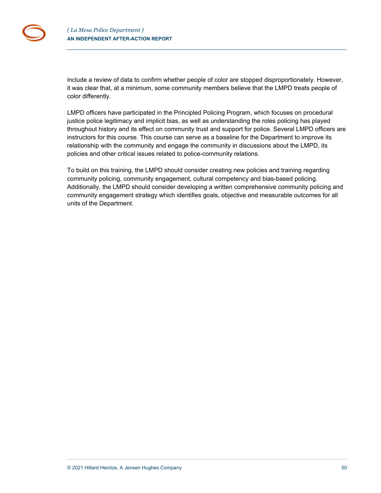include a review of data to confirm whether people of color are stopped disproportionately. However, it was clear that, at a minimum, some community members believe that the LMPD treats people of color differently.

LMPD officers have participated in the Principled Policing Program, which focuses on procedural justice police legitimacy and implicit bias, as well as understanding the roles policing has played throughout history and its effect on community trust and support for police. Several LMPD officers are instructors for this course. This course can serve as a baseline for the Department to improve its relationship with the community and engage the community in discussions about the LMPD, its policies and other critical issues related to police-community relations.

To build on this training, the LMPD should consider creating new policies and training regarding community policing, community engagement, cultural competency and bias-based policing. Additionally, the LMPD should consider developing a written comprehensive community policing and community engagement strategy which identifies goals, objective and measurable outcomes for all units of the Department.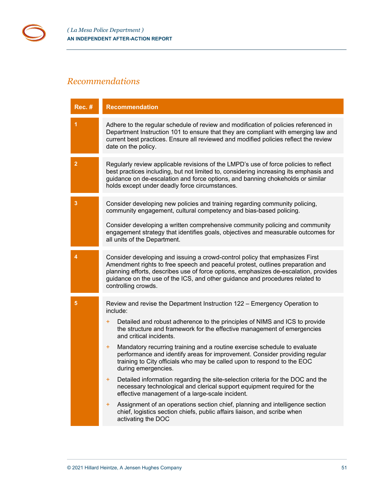# <span id="page-50-0"></span>*Recommendations*

| <b>Rec. #</b>   | <b>Recommendation</b>                                                                                                                                                                                                                                                                                                                                                                                                                                                                                                                                                                                                                                                                                                                                                                                                                                                                                                                                  |
|-----------------|--------------------------------------------------------------------------------------------------------------------------------------------------------------------------------------------------------------------------------------------------------------------------------------------------------------------------------------------------------------------------------------------------------------------------------------------------------------------------------------------------------------------------------------------------------------------------------------------------------------------------------------------------------------------------------------------------------------------------------------------------------------------------------------------------------------------------------------------------------------------------------------------------------------------------------------------------------|
|                 | Adhere to the regular schedule of review and modification of policies referenced in<br>Department Instruction 101 to ensure that they are compliant with emerging law and<br>current best practices. Ensure all reviewed and modified policies reflect the review<br>date on the policy.                                                                                                                                                                                                                                                                                                                                                                                                                                                                                                                                                                                                                                                               |
| $\overline{2}$  | Regularly review applicable revisions of the LMPD's use of force policies to reflect<br>best practices including, but not limited to, considering increasing its emphasis and<br>guidance on de-escalation and force options, and banning chokeholds or similar<br>holds except under deadly force circumstances.                                                                                                                                                                                                                                                                                                                                                                                                                                                                                                                                                                                                                                      |
| 3               | Consider developing new policies and training regarding community policing,<br>community engagement, cultural competency and bias-based policing.<br>Consider developing a written comprehensive community policing and community<br>engagement strategy that identifies goals, objectives and measurable outcomes for<br>all units of the Department.                                                                                                                                                                                                                                                                                                                                                                                                                                                                                                                                                                                                 |
| 4               | Consider developing and issuing a crowd-control policy that emphasizes First<br>Amendment rights to free speech and peaceful protest, outlines preparation and<br>planning efforts, describes use of force options, emphasizes de-escalation, provides<br>guidance on the use of the ICS, and other guidance and procedures related to<br>controlling crowds.                                                                                                                                                                                                                                                                                                                                                                                                                                                                                                                                                                                          |
| $5\phantom{.0}$ | Review and revise the Department Instruction 122 - Emergency Operation to<br>include:<br>Detailed and robust adherence to the principles of NIMS and ICS to provide<br>÷<br>the structure and framework for the effective management of emergencies<br>and critical incidents.<br>Mandatory recurring training and a routine exercise schedule to evaluate<br>÷<br>performance and identify areas for improvement. Consider providing regular<br>training to City officials who may be called upon to respond to the EOC<br>during emergencies.<br>Detailed information regarding the site-selection criteria for the DOC and the<br>necessary technological and clerical support equipment required for the<br>effective management of a large-scale incident.<br>Assignment of an operations section chief, planning and intelligence section<br>÷<br>chief, logistics section chiefs, public affairs liaison, and scribe when<br>activating the DOC |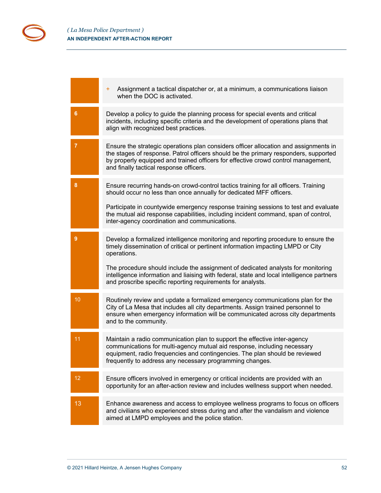|                | Assignment a tactical dispatcher or, at a minimum, a communications liaison<br>$+$<br>when the DOC is activated.                                                                                                                                                                                                                                                                                                                      |
|----------------|---------------------------------------------------------------------------------------------------------------------------------------------------------------------------------------------------------------------------------------------------------------------------------------------------------------------------------------------------------------------------------------------------------------------------------------|
| 6              | Develop a policy to guide the planning process for special events and critical<br>incidents, including specific criteria and the development of operations plans that<br>align with recognized best practices.                                                                                                                                                                                                                        |
| $\overline{7}$ | Ensure the strategic operations plan considers officer allocation and assignments in<br>the stages of response. Patrol officers should be the primary responders, supported<br>by properly equipped and trained officers for effective crowd control management,<br>and finally tactical response officers.                                                                                                                           |
| 8              | Ensure recurring hands-on crowd-control tactics training for all officers. Training<br>should occur no less than once annually for dedicated MFF officers.<br>Participate in countywide emergency response training sessions to test and evaluate<br>the mutual aid response capabilities, including incident command, span of control,<br>inter-agency coordination and communications.                                              |
| $\overline{9}$ | Develop a formalized intelligence monitoring and reporting procedure to ensure the<br>timely dissemination of critical or pertinent information impacting LMPD or City<br>operations.<br>The procedure should include the assignment of dedicated analysts for monitoring<br>intelligence information and liaising with federal, state and local intelligence partners<br>and proscribe specific reporting requirements for analysts. |
| 10             | Routinely review and update a formalized emergency communications plan for the<br>City of La Mesa that includes all city departments. Assign trained personnel to<br>ensure when emergency information will be communicated across city departments<br>and to the community.                                                                                                                                                          |
| 11             | Maintain a radio communication plan to support the effective inter-agency<br>communications for multi-agency mutual aid response, including necessary<br>equipment, radio frequencies and contingencies. The plan should be reviewed<br>frequently to address any necessary programming changes.                                                                                                                                      |
| 12             | Ensure officers involved in emergency or critical incidents are provided with an<br>opportunity for an after-action review and includes wellness support when needed.                                                                                                                                                                                                                                                                 |
| 13             | Enhance awareness and access to employee wellness programs to focus on officers<br>and civilians who experienced stress during and after the vandalism and violence<br>aimed at LMPD employees and the police station.                                                                                                                                                                                                                |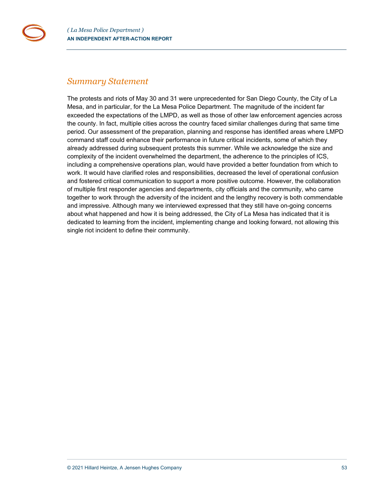## <span id="page-52-0"></span>*Summary Statement*

The protests and riots of May 30 and 31 were unprecedented for San Diego County, the City of La Mesa, and in particular, for the La Mesa Police Department. The magnitude of the incident far exceeded the expectations of the LMPD, as well as those of other law enforcement agencies across the county. In fact, multiple cities across the country faced similar challenges during that same time period. Our assessment of the preparation, planning and response has identified areas where LMPD command staff could enhance their performance in future critical incidents, some of which they already addressed during subsequent protests this summer. While we acknowledge the size and complexity of the incident overwhelmed the department, the adherence to the principles of ICS, including a comprehensive operations plan, would have provided a better foundation from which to work. It would have clarified roles and responsibilities, decreased the level of operational confusion and fostered critical communication to support a more positive outcome. However, the collaboration of multiple first responder agencies and departments, city officials and the community, who came together to work through the adversity of the incident and the lengthy recovery is both commendable and impressive. Although many we interviewed expressed that they still have on-going concerns about what happened and how it is being addressed, the City of La Mesa has indicated that it is dedicated to learning from the incident, implementing change and looking forward, not allowing this single riot incident to define their community.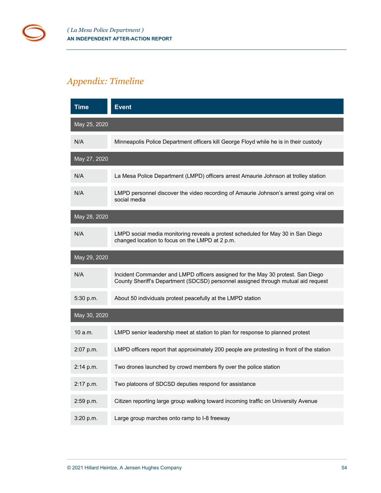# <span id="page-53-0"></span>*Appendix: Timeline*

| <b>Time</b>  | <b>Event</b>                                                                                                                                                         |
|--------------|----------------------------------------------------------------------------------------------------------------------------------------------------------------------|
| May 25, 2020 |                                                                                                                                                                      |
| N/A          | Minneapolis Police Department officers kill George Floyd while he is in their custody                                                                                |
| May 27, 2020 |                                                                                                                                                                      |
| N/A          | La Mesa Police Department (LMPD) officers arrest Amaurie Johnson at trolley station                                                                                  |
| N/A          | LMPD personnel discover the video recording of Amaurie Johnson's arrest going viral on<br>social media                                                               |
| May 28, 2020 |                                                                                                                                                                      |
| N/A          | LMPD social media monitoring reveals a protest scheduled for May 30 in San Diego<br>changed location to focus on the LMPD at 2 p.m.                                  |
| May 29, 2020 |                                                                                                                                                                      |
| N/A          | Incident Commander and LMPD officers assigned for the May 30 protest. San Diego<br>County Sheriff's Department (SDCSD) personnel assigned through mutual aid request |
| 5:30 p.m.    | About 50 individuals protest peacefully at the LMPD station                                                                                                          |
| May 30, 2020 |                                                                                                                                                                      |
| 10 a.m.      | LMPD senior leadership meet at station to plan for response to planned protest                                                                                       |
| 2:07 p.m.    | LMPD officers report that approximately 200 people are protesting in front of the station                                                                            |
| $2:14$ p.m.  | Two drones launched by crowd members fly over the police station                                                                                                     |
| 2:17 p.m.    | Two platoons of SDCSD deputies respond for assistance                                                                                                                |
| 2:59 p.m.    | Citizen reporting large group walking toward incoming traffic on University Avenue                                                                                   |
| 3:20 p.m.    | Large group marches onto ramp to I-8 freeway                                                                                                                         |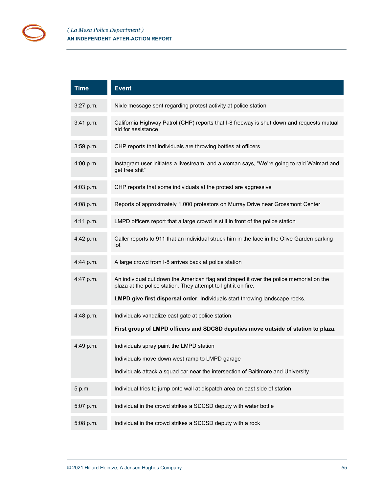| <b>Time</b> | <b>Event</b>                                                                                                                                                                                                                             |
|-------------|------------------------------------------------------------------------------------------------------------------------------------------------------------------------------------------------------------------------------------------|
| 3:27 p.m.   | Nixle message sent regarding protest activity at police station                                                                                                                                                                          |
| 3:41 p.m.   | California Highway Patrol (CHP) reports that I-8 freeway is shut down and requests mutual<br>aid for assistance                                                                                                                          |
| 3:59 p.m.   | CHP reports that individuals are throwing bottles at officers                                                                                                                                                                            |
| 4:00 p.m.   | Instagram user initiates a livestream, and a woman says, "We're going to raid Walmart and<br>get free shit"                                                                                                                              |
| 4:03 p.m.   | CHP reports that some individuals at the protest are aggressive                                                                                                                                                                          |
| 4:08 p.m.   | Reports of approximately 1,000 protestors on Murray Drive near Grossmont Center                                                                                                                                                          |
| 4:11 p.m.   | LMPD officers report that a large crowd is still in front of the police station                                                                                                                                                          |
| 4:42 p.m.   | Caller reports to 911 that an individual struck him in the face in the Olive Garden parking<br>lot                                                                                                                                       |
| 4:44 p.m.   | A large crowd from I-8 arrives back at police station                                                                                                                                                                                    |
| 4:47 p.m.   | An individual cut down the American flag and draped it over the police memorial on the<br>plaza at the police station. They attempt to light it on fire.<br>LMPD give first dispersal order. Individuals start throwing landscape rocks. |
|             |                                                                                                                                                                                                                                          |
| 4:48 p.m.   | Individuals vandalize east gate at police station.<br>First group of LMPD officers and SDCSD deputies move outside of station to plaza.                                                                                                  |
| 4:49 p.m.   | Individuals spray paint the LMPD station<br>Individuals move down west ramp to LMPD garage<br>Individuals attack a squad car near the intersection of Baltimore and University                                                           |
| 5 p.m.      | Individual tries to jump onto wall at dispatch area on east side of station                                                                                                                                                              |
| 5:07 p.m.   | Individual in the crowd strikes a SDCSD deputy with water bottle                                                                                                                                                                         |
| 5:08 p.m.   | Individual in the crowd strikes a SDCSD deputy with a rock                                                                                                                                                                               |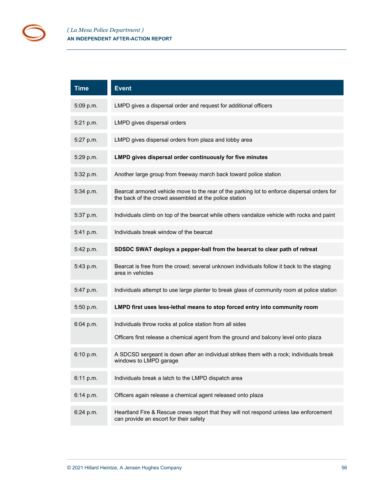| <b>Time</b> | <b>Event</b>                                                                                                                                         |
|-------------|------------------------------------------------------------------------------------------------------------------------------------------------------|
| 5:09 p.m.   | LMPD gives a dispersal order and request for additional officers                                                                                     |
| 5:21 p.m.   | LMPD gives dispersal orders                                                                                                                          |
| 5:27 p.m.   | LMPD gives dispersal orders from plaza and lobby area                                                                                                |
| 5:29 p.m.   | LMPD gives dispersal order continuously for five minutes                                                                                             |
| 5:32 p.m.   | Another large group from freeway march back toward police station                                                                                    |
| $5:34$ p.m. | Bearcat armored vehicle move to the rear of the parking lot to enforce dispersal orders for<br>the back of the crowd assembled at the police station |
| 5:37 p.m.   | Individuals climb on top of the bearcat while others vandalize vehicle with rocks and paint                                                          |
| 5:41 p.m.   | Individuals break window of the bearcat                                                                                                              |
| 5:42 p.m.   | SDSDC SWAT deploys a pepper-ball from the bearcat to clear path of retreat                                                                           |
| 5:43 p.m.   | Bearcat is free from the crowd; several unknown individuals follow it back to the staging<br>area in vehicles                                        |
| 5:47 p.m.   | Individuals attempt to use large planter to break glass of community room at police station                                                          |
| 5:50 p.m.   | LMPD first uses less-lethal means to stop forced entry into community room                                                                           |
| 6:04 p.m.   | Individuals throw rocks at police station from all sides<br>Officers first release a chemical agent from the ground and balcony level onto plaza     |
| 6:10 p.m.   | A SDCSD sergeant is down after an individual strikes them with a rock; individuals break<br>windows to LMPD garage                                   |
| 6:11 p.m.   | Individuals break a latch to the LMPD dispatch area                                                                                                  |
| 6:14 p.m.   | Officers again release a chemical agent released onto plaza                                                                                          |
| $6:24$ p.m. | Heartland Fire & Rescue crews report that they will not respond unless law enforcement<br>can provide an escort for their safety                     |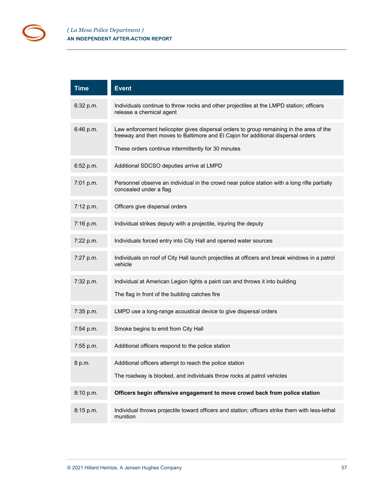| <b>Time</b> | <b>Event</b>                                                                                                                                                                                                                       |
|-------------|------------------------------------------------------------------------------------------------------------------------------------------------------------------------------------------------------------------------------------|
| 6:32 p.m.   | Individuals continue to throw rocks and other projectiles at the LMPD station; officers<br>release a chemical agent                                                                                                                |
| 6:46 p.m.   | Law enforcement helicopter gives dispersal orders to group remaining in the area of the<br>freeway and then moves to Baltimore and El Cajon for additional dispersal orders<br>These orders continue intermittently for 30 minutes |
| 6:52 p.m.   | Additional SDCSO deputies arrive at LMPD                                                                                                                                                                                           |
| 7:01 p.m.   | Personnel observe an individual in the crowd near police station with a long rifle partially<br>concealed under a flag                                                                                                             |
| 7:12 p.m.   | Officers give dispersal orders                                                                                                                                                                                                     |
| 7:16 p.m.   | Individual strikes deputy with a projectile, injuring the deputy                                                                                                                                                                   |
| 7:22 p.m.   | Individuals forced entry into City Hall and opened water sources                                                                                                                                                                   |
| 7:27 p.m.   | Individuals on roof of City Hall launch projectiles at officers and break windows in a patrol<br>vehicle                                                                                                                           |
| 7:32 p.m.   | Individual at American Legion lights a paint can and throws it into building<br>The flag in front of the building catches fire                                                                                                     |
| 7:35 p.m.   | LMPD use a long-range acoustical device to give dispersal orders                                                                                                                                                                   |
| 7:54 p.m.   | Smoke begins to emit from City Hall                                                                                                                                                                                                |
| 7:55 p.m.   | Additional officers respond to the police station                                                                                                                                                                                  |
| 8 p.m.      | Additional officers attempt to reach the police station<br>The roadway is blocked, and individuals throw rocks at patrol vehicles                                                                                                  |
| 8:10 p.m.   | Officers begin offensive engagement to move crowd back from police station                                                                                                                                                         |
| 8:15 p.m.   | Individual throws projectile toward officers and station; officers strike them with less-lethal<br>munition                                                                                                                        |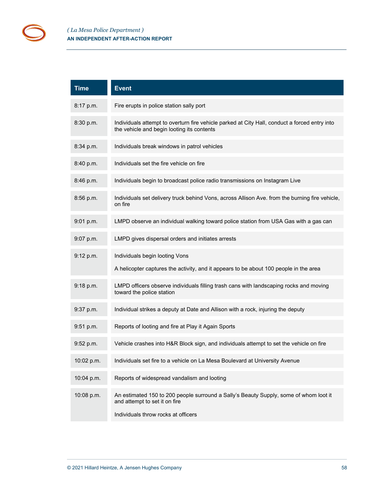ř.

| <b>Time</b> | <b>Event</b>                                                                                                                                                  |
|-------------|---------------------------------------------------------------------------------------------------------------------------------------------------------------|
| 8:17 p.m.   | Fire erupts in police station sally port                                                                                                                      |
| 8:30 p.m.   | Individuals attempt to overturn fire vehicle parked at City Hall, conduct a forced entry into<br>the vehicle and begin looting its contents                   |
| 8:34 p.m.   | Individuals break windows in patrol vehicles                                                                                                                  |
| 8:40 p.m.   | Individuals set the fire vehicle on fire                                                                                                                      |
| 8:46 p.m.   | Individuals begin to broadcast police radio transmissions on Instagram Live                                                                                   |
| 8:56 p.m.   | Individuals set delivery truck behind Vons, across Allison Ave. from the burning fire vehicle,<br>on fire                                                     |
| 9:01 p.m.   | LMPD observe an individual walking toward police station from USA Gas with a gas can                                                                          |
| $9:07$ p.m. | LMPD gives dispersal orders and initiates arrests                                                                                                             |
| 9:12 p.m.   | Individuals begin looting Vons                                                                                                                                |
|             | A helicopter captures the activity, and it appears to be about 100 people in the area                                                                         |
| 9:18 p.m.   | LMPD officers observe individuals filling trash cans with landscaping rocks and moving<br>toward the police station                                           |
| 9:37 p.m.   | Individual strikes a deputy at Date and Allison with a rock, injuring the deputy                                                                              |
| 9:51 p.m.   | Reports of looting and fire at Play it Again Sports                                                                                                           |
| 9:52 p.m.   | Vehicle crashes into H&R Block sign, and individuals attempt to set the vehicle on fire                                                                       |
| 10:02 p.m.  | Individuals set fire to a vehicle on La Mesa Boulevard at University Avenue                                                                                   |
| 10:04 p.m.  | Reports of widespread vandalism and looting                                                                                                                   |
| 10:08 p.m.  | An estimated 150 to 200 people surround a Sally's Beauty Supply, some of whom loot it<br>and attempt to set it on fire<br>Individuals throw rocks at officers |